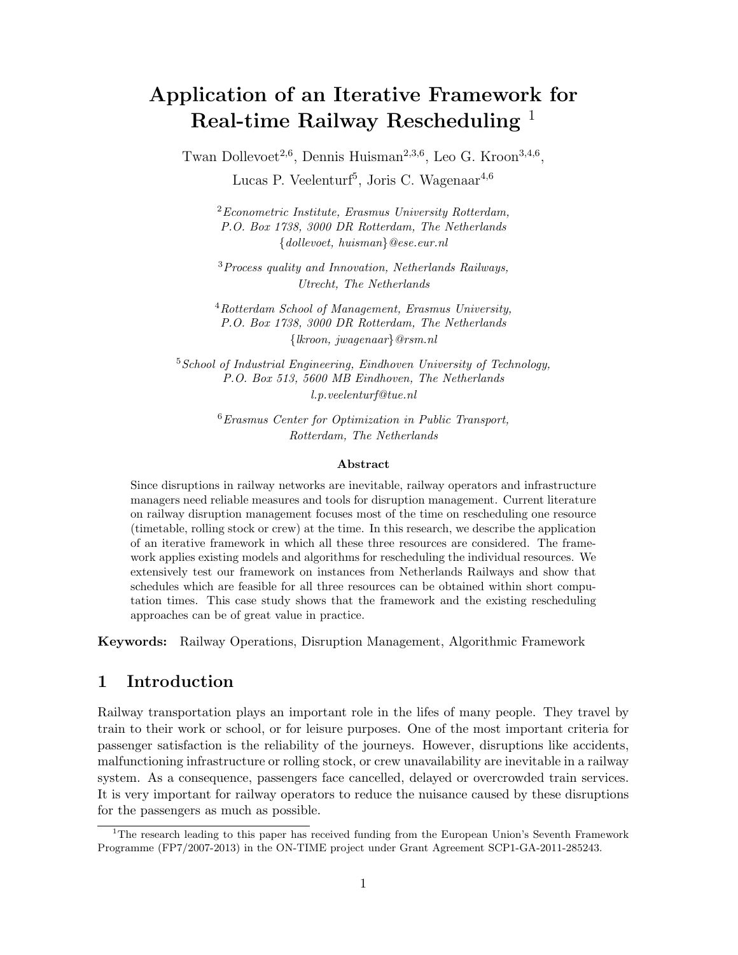# Application of an Iterative Framework for Real-time Railway Rescheduling <sup>1</sup>

Twan Dollevoet<sup>2,6</sup>, Dennis Huisman<sup>2,3,6</sup>, Leo G. Kroon<sup>3,4,6</sup>, Lucas P. Veelenturf<sup>5</sup>, Joris C. Wagenaar<sup>4,6</sup>

 ${}^{2}E$ conometric Institute, Erasmus University Rotterdam, P.O. Box 1738, 3000 DR Rotterdam, The Netherlands {dollevoet, huisman}@ese.eur.nl

<sup>3</sup>Process quality and Innovation, Netherlands Railways, Utrecht, The Netherlands

<sup>4</sup>Rotterdam School of Management, Erasmus University, P.O. Box 1738, 3000 DR Rotterdam, The Netherlands {lkroon, jwagenaar}@rsm.nl

 $5$ School of Industrial Engineering, Eindhoven University of Technology, P.O. Box 513, 5600 MB Eindhoven, The Netherlands l.p.veelenturf@tue.nl

> $6$ Erasmus Center for Optimization in Public Transport, Rotterdam, The Netherlands

#### Abstract

Since disruptions in railway networks are inevitable, railway operators and infrastructure managers need reliable measures and tools for disruption management. Current literature on railway disruption management focuses most of the time on rescheduling one resource (timetable, rolling stock or crew) at the time. In this research, we describe the application of an iterative framework in which all these three resources are considered. The framework applies existing models and algorithms for rescheduling the individual resources. We extensively test our framework on instances from Netherlands Railways and show that schedules which are feasible for all three resources can be obtained within short computation times. This case study shows that the framework and the existing rescheduling approaches can be of great value in practice.

Keywords: Railway Operations, Disruption Management, Algorithmic Framework

# 1 Introduction

Railway transportation plays an important role in the lifes of many people. They travel by train to their work or school, or for leisure purposes. One of the most important criteria for passenger satisfaction is the reliability of the journeys. However, disruptions like accidents, malfunctioning infrastructure or rolling stock, or crew unavailability are inevitable in a railway system. As a consequence, passengers face cancelled, delayed or overcrowded train services. It is very important for railway operators to reduce the nuisance caused by these disruptions for the passengers as much as possible.

<sup>&</sup>lt;sup>1</sup>The research leading to this paper has received funding from the European Union's Seventh Framework Programme (FP7/2007-2013) in the ON-TIME project under Grant Agreement SCP1-GA-2011-285243.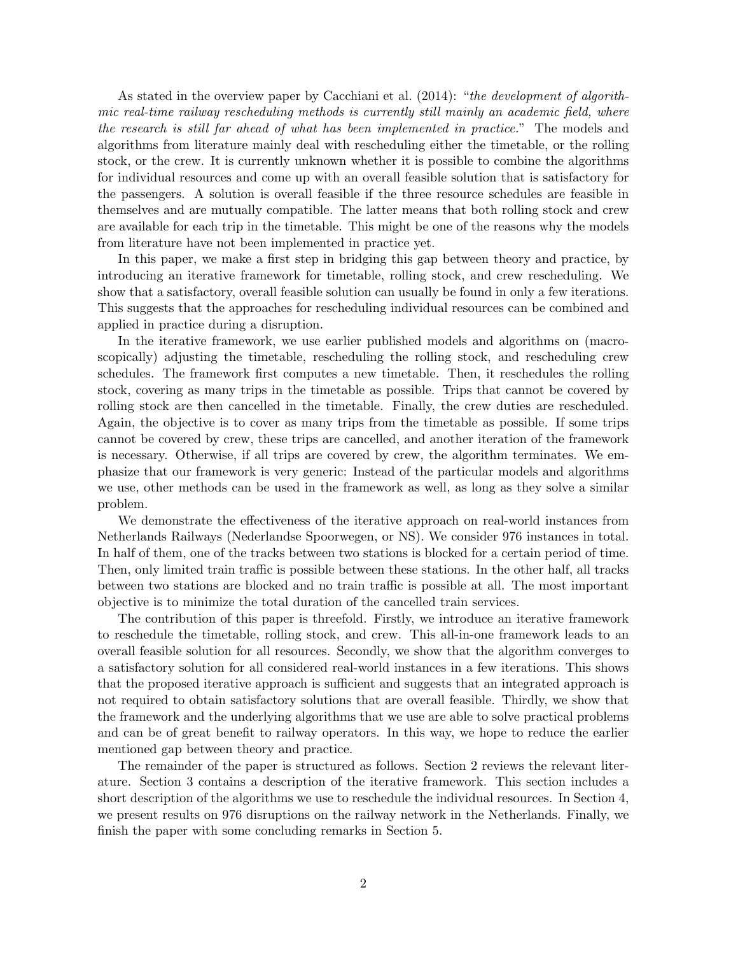As stated in the overview paper by Cacchiani et al. (2014): "the development of algorithmic real-time railway rescheduling methods is currently still mainly an academic field, where the research is still far ahead of what has been implemented in practice." The models and algorithms from literature mainly deal with rescheduling either the timetable, or the rolling stock, or the crew. It is currently unknown whether it is possible to combine the algorithms for individual resources and come up with an overall feasible solution that is satisfactory for the passengers. A solution is overall feasible if the three resource schedules are feasible in themselves and are mutually compatible. The latter means that both rolling stock and crew are available for each trip in the timetable. This might be one of the reasons why the models from literature have not been implemented in practice yet.

In this paper, we make a first step in bridging this gap between theory and practice, by introducing an iterative framework for timetable, rolling stock, and crew rescheduling. We show that a satisfactory, overall feasible solution can usually be found in only a few iterations. This suggests that the approaches for rescheduling individual resources can be combined and applied in practice during a disruption.

In the iterative framework, we use earlier published models and algorithms on (macroscopically) adjusting the timetable, rescheduling the rolling stock, and rescheduling crew schedules. The framework first computes a new timetable. Then, it reschedules the rolling stock, covering as many trips in the timetable as possible. Trips that cannot be covered by rolling stock are then cancelled in the timetable. Finally, the crew duties are rescheduled. Again, the objective is to cover as many trips from the timetable as possible. If some trips cannot be covered by crew, these trips are cancelled, and another iteration of the framework is necessary. Otherwise, if all trips are covered by crew, the algorithm terminates. We emphasize that our framework is very generic: Instead of the particular models and algorithms we use, other methods can be used in the framework as well, as long as they solve a similar problem.

We demonstrate the effectiveness of the iterative approach on real-world instances from Netherlands Railways (Nederlandse Spoorwegen, or NS). We consider 976 instances in total. In half of them, one of the tracks between two stations is blocked for a certain period of time. Then, only limited train traffic is possible between these stations. In the other half, all tracks between two stations are blocked and no train traffic is possible at all. The most important objective is to minimize the total duration of the cancelled train services.

The contribution of this paper is threefold. Firstly, we introduce an iterative framework to reschedule the timetable, rolling stock, and crew. This all-in-one framework leads to an overall feasible solution for all resources. Secondly, we show that the algorithm converges to a satisfactory solution for all considered real-world instances in a few iterations. This shows that the proposed iterative approach is sufficient and suggests that an integrated approach is not required to obtain satisfactory solutions that are overall feasible. Thirdly, we show that the framework and the underlying algorithms that we use are able to solve practical problems and can be of great benefit to railway operators. In this way, we hope to reduce the earlier mentioned gap between theory and practice.

The remainder of the paper is structured as follows. Section 2 reviews the relevant literature. Section 3 contains a description of the iterative framework. This section includes a short description of the algorithms we use to reschedule the individual resources. In Section 4, we present results on 976 disruptions on the railway network in the Netherlands. Finally, we finish the paper with some concluding remarks in Section 5.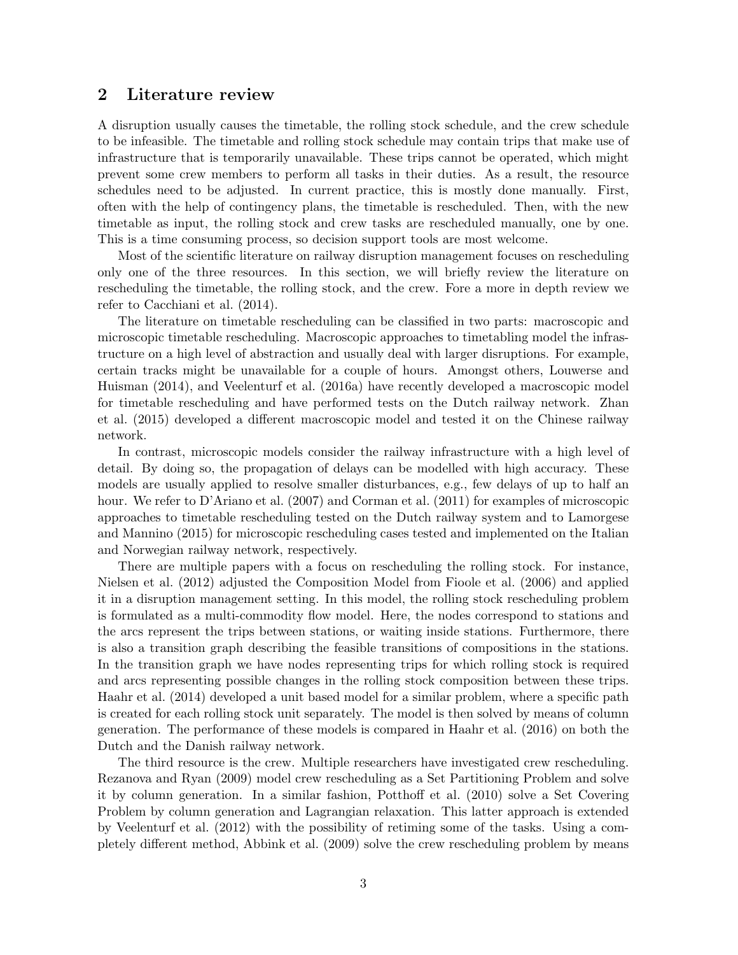# 2 Literature review

A disruption usually causes the timetable, the rolling stock schedule, and the crew schedule to be infeasible. The timetable and rolling stock schedule may contain trips that make use of infrastructure that is temporarily unavailable. These trips cannot be operated, which might prevent some crew members to perform all tasks in their duties. As a result, the resource schedules need to be adjusted. In current practice, this is mostly done manually. First, often with the help of contingency plans, the timetable is rescheduled. Then, with the new timetable as input, the rolling stock and crew tasks are rescheduled manually, one by one. This is a time consuming process, so decision support tools are most welcome.

Most of the scientific literature on railway disruption management focuses on rescheduling only one of the three resources. In this section, we will briefly review the literature on rescheduling the timetable, the rolling stock, and the crew. Fore a more in depth review we refer to Cacchiani et al. (2014).

The literature on timetable rescheduling can be classified in two parts: macroscopic and microscopic timetable rescheduling. Macroscopic approaches to timetabling model the infrastructure on a high level of abstraction and usually deal with larger disruptions. For example, certain tracks might be unavailable for a couple of hours. Amongst others, Louwerse and Huisman (2014), and Veelenturf et al. (2016a) have recently developed a macroscopic model for timetable rescheduling and have performed tests on the Dutch railway network. Zhan et al. (2015) developed a different macroscopic model and tested it on the Chinese railway network.

In contrast, microscopic models consider the railway infrastructure with a high level of detail. By doing so, the propagation of delays can be modelled with high accuracy. These models are usually applied to resolve smaller disturbances, e.g., few delays of up to half an hour. We refer to D'Ariano et al. (2007) and Corman et al. (2011) for examples of microscopic approaches to timetable rescheduling tested on the Dutch railway system and to Lamorgese and Mannino (2015) for microscopic rescheduling cases tested and implemented on the Italian and Norwegian railway network, respectively.

There are multiple papers with a focus on rescheduling the rolling stock. For instance, Nielsen et al. (2012) adjusted the Composition Model from Fioole et al. (2006) and applied it in a disruption management setting. In this model, the rolling stock rescheduling problem is formulated as a multi-commodity flow model. Here, the nodes correspond to stations and the arcs represent the trips between stations, or waiting inside stations. Furthermore, there is also a transition graph describing the feasible transitions of compositions in the stations. In the transition graph we have nodes representing trips for which rolling stock is required and arcs representing possible changes in the rolling stock composition between these trips. Haahr et al. (2014) developed a unit based model for a similar problem, where a specific path is created for each rolling stock unit separately. The model is then solved by means of column generation. The performance of these models is compared in Haahr et al. (2016) on both the Dutch and the Danish railway network.

The third resource is the crew. Multiple researchers have investigated crew rescheduling. Rezanova and Ryan (2009) model crew rescheduling as a Set Partitioning Problem and solve it by column generation. In a similar fashion, Potthoff et al. (2010) solve a Set Covering Problem by column generation and Lagrangian relaxation. This latter approach is extended by Veelenturf et al. (2012) with the possibility of retiming some of the tasks. Using a completely different method, Abbink et al. (2009) solve the crew rescheduling problem by means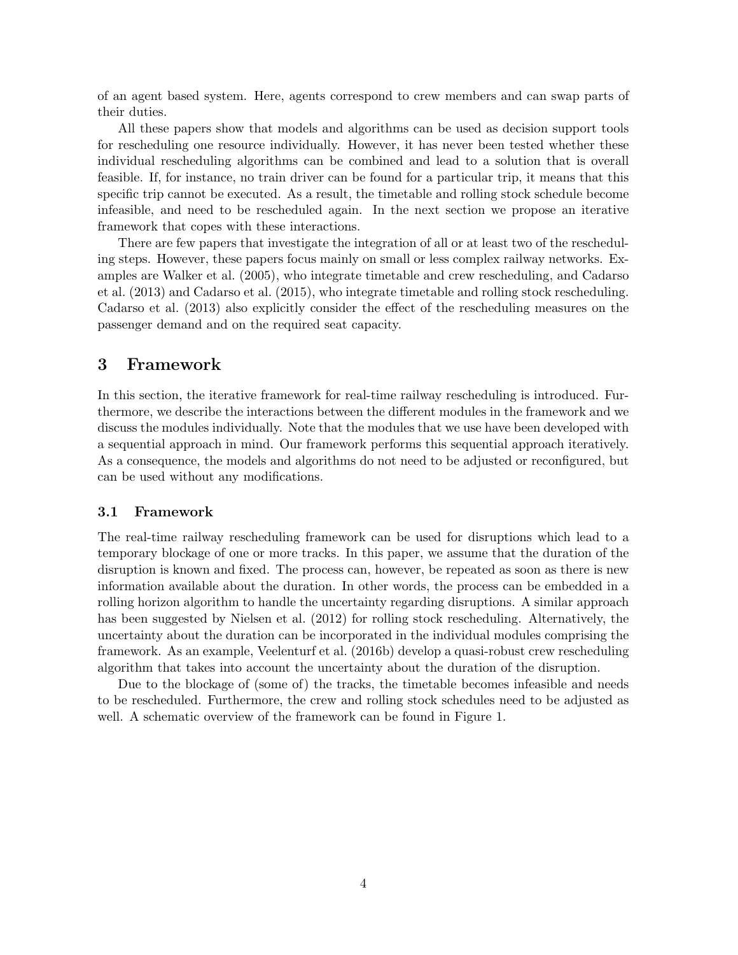of an agent based system. Here, agents correspond to crew members and can swap parts of their duties.

All these papers show that models and algorithms can be used as decision support tools for rescheduling one resource individually. However, it has never been tested whether these individual rescheduling algorithms can be combined and lead to a solution that is overall feasible. If, for instance, no train driver can be found for a particular trip, it means that this specific trip cannot be executed. As a result, the timetable and rolling stock schedule become infeasible, and need to be rescheduled again. In the next section we propose an iterative framework that copes with these interactions.

There are few papers that investigate the integration of all or at least two of the rescheduling steps. However, these papers focus mainly on small or less complex railway networks. Examples are Walker et al. (2005), who integrate timetable and crew rescheduling, and Cadarso et al. (2013) and Cadarso et al. (2015), who integrate timetable and rolling stock rescheduling. Cadarso et al. (2013) also explicitly consider the effect of the rescheduling measures on the passenger demand and on the required seat capacity.

# 3 Framework

In this section, the iterative framework for real-time railway rescheduling is introduced. Furthermore, we describe the interactions between the different modules in the framework and we discuss the modules individually. Note that the modules that we use have been developed with a sequential approach in mind. Our framework performs this sequential approach iteratively. As a consequence, the models and algorithms do not need to be adjusted or reconfigured, but can be used without any modifications.

#### 3.1 Framework

The real-time railway rescheduling framework can be used for disruptions which lead to a temporary blockage of one or more tracks. In this paper, we assume that the duration of the disruption is known and fixed. The process can, however, be repeated as soon as there is new information available about the duration. In other words, the process can be embedded in a rolling horizon algorithm to handle the uncertainty regarding disruptions. A similar approach has been suggested by Nielsen et al. (2012) for rolling stock rescheduling. Alternatively, the uncertainty about the duration can be incorporated in the individual modules comprising the framework. As an example, Veelenturf et al. (2016b) develop a quasi-robust crew rescheduling algorithm that takes into account the uncertainty about the duration of the disruption.

Due to the blockage of (some of) the tracks, the timetable becomes infeasible and needs to be rescheduled. Furthermore, the crew and rolling stock schedules need to be adjusted as well. A schematic overview of the framework can be found in Figure 1.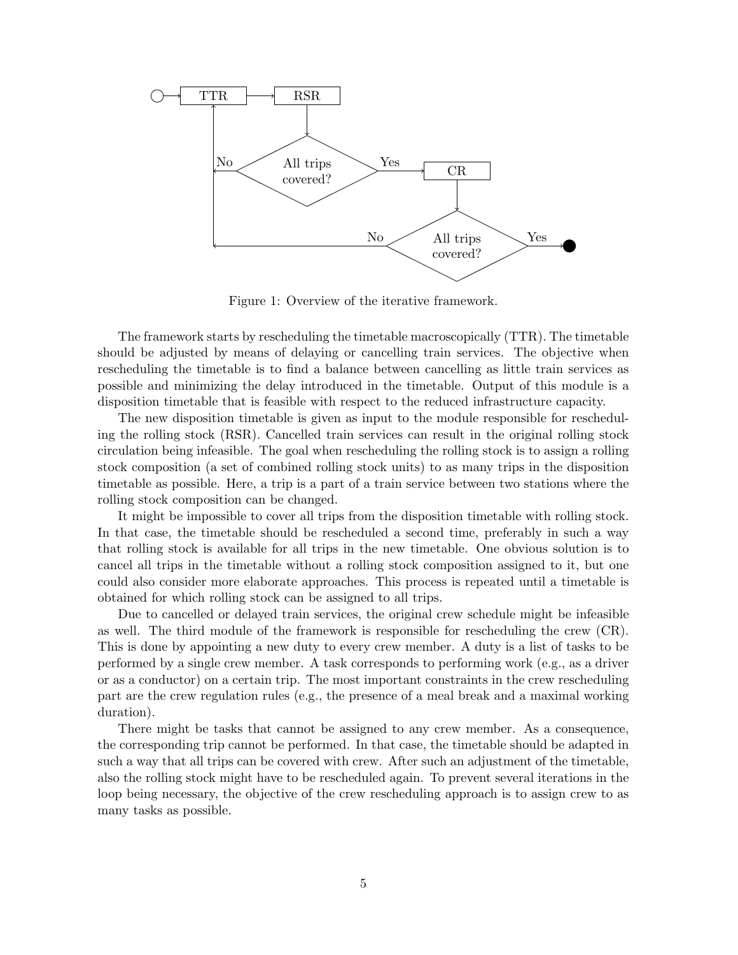

Figure 1: Overview of the iterative framework.

The framework starts by rescheduling the timetable macroscopically (TTR). The timetable should be adjusted by means of delaying or cancelling train services. The objective when rescheduling the timetable is to find a balance between cancelling as little train services as possible and minimizing the delay introduced in the timetable. Output of this module is a disposition timetable that is feasible with respect to the reduced infrastructure capacity.

The new disposition timetable is given as input to the module responsible for rescheduling the rolling stock (RSR). Cancelled train services can result in the original rolling stock circulation being infeasible. The goal when rescheduling the rolling stock is to assign a rolling stock composition (a set of combined rolling stock units) to as many trips in the disposition timetable as possible. Here, a trip is a part of a train service between two stations where the rolling stock composition can be changed.

It might be impossible to cover all trips from the disposition timetable with rolling stock. In that case, the timetable should be rescheduled a second time, preferably in such a way that rolling stock is available for all trips in the new timetable. One obvious solution is to cancel all trips in the timetable without a rolling stock composition assigned to it, but one could also consider more elaborate approaches. This process is repeated until a timetable is obtained for which rolling stock can be assigned to all trips.

Due to cancelled or delayed train services, the original crew schedule might be infeasible as well. The third module of the framework is responsible for rescheduling the crew (CR). This is done by appointing a new duty to every crew member. A duty is a list of tasks to be performed by a single crew member. A task corresponds to performing work (e.g., as a driver or as a conductor) on a certain trip. The most important constraints in the crew rescheduling part are the crew regulation rules (e.g., the presence of a meal break and a maximal working duration).

There might be tasks that cannot be assigned to any crew member. As a consequence, the corresponding trip cannot be performed. In that case, the timetable should be adapted in such a way that all trips can be covered with crew. After such an adjustment of the timetable, also the rolling stock might have to be rescheduled again. To prevent several iterations in the loop being necessary, the objective of the crew rescheduling approach is to assign crew to as many tasks as possible.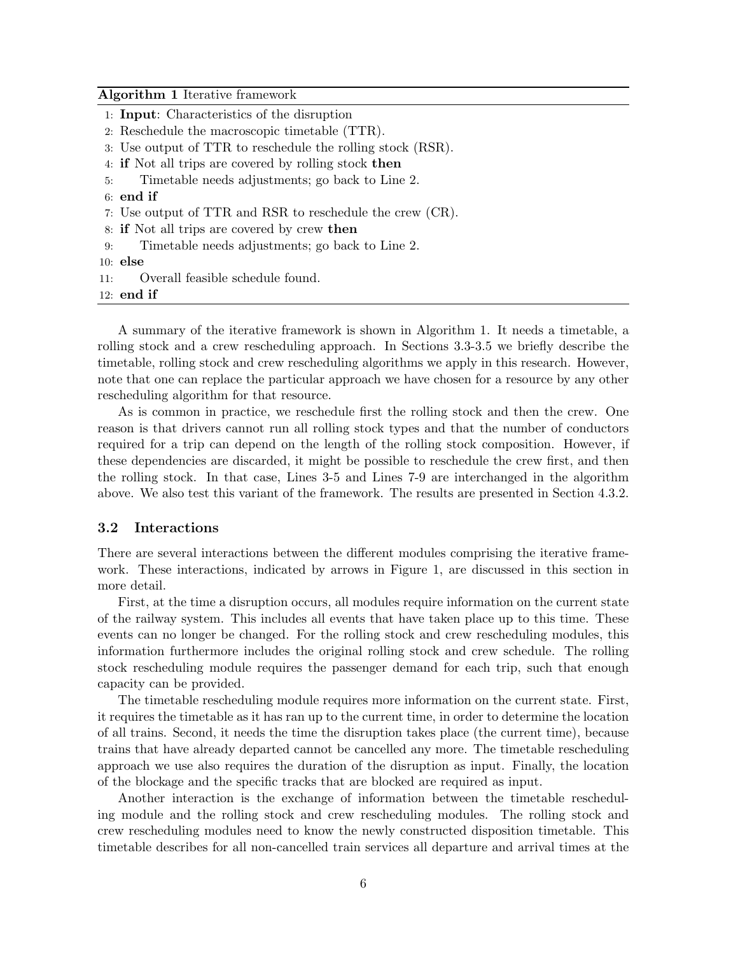Algorithm 1 Iterative framework

- 1: Input: Characteristics of the disruption
- 2: Reschedule the macroscopic timetable (TTR).
- 3: Use output of TTR to reschedule the rolling stock (RSR).
- 4: if Not all trips are covered by rolling stock then
- 5: Timetable needs adjustments; go back to Line 2.
- 6: end if
- 7: Use output of TTR and RSR to reschedule the crew (CR).
- 8: if Not all trips are covered by crew then
- 9: Timetable needs adjustments; go back to Line 2.

10: else

11: Overall feasible schedule found.

12: end if

A summary of the iterative framework is shown in Algorithm 1. It needs a timetable, a rolling stock and a crew rescheduling approach. In Sections 3.3-3.5 we briefly describe the timetable, rolling stock and crew rescheduling algorithms we apply in this research. However, note that one can replace the particular approach we have chosen for a resource by any other rescheduling algorithm for that resource.

As is common in practice, we reschedule first the rolling stock and then the crew. One reason is that drivers cannot run all rolling stock types and that the number of conductors required for a trip can depend on the length of the rolling stock composition. However, if these dependencies are discarded, it might be possible to reschedule the crew first, and then the rolling stock. In that case, Lines 3-5 and Lines 7-9 are interchanged in the algorithm above. We also test this variant of the framework. The results are presented in Section 4.3.2.

#### 3.2 Interactions

There are several interactions between the different modules comprising the iterative framework. These interactions, indicated by arrows in Figure 1, are discussed in this section in more detail.

First, at the time a disruption occurs, all modules require information on the current state of the railway system. This includes all events that have taken place up to this time. These events can no longer be changed. For the rolling stock and crew rescheduling modules, this information furthermore includes the original rolling stock and crew schedule. The rolling stock rescheduling module requires the passenger demand for each trip, such that enough capacity can be provided.

The timetable rescheduling module requires more information on the current state. First, it requires the timetable as it has ran up to the current time, in order to determine the location of all trains. Second, it needs the time the disruption takes place (the current time), because trains that have already departed cannot be cancelled any more. The timetable rescheduling approach we use also requires the duration of the disruption as input. Finally, the location of the blockage and the specific tracks that are blocked are required as input.

Another interaction is the exchange of information between the timetable rescheduling module and the rolling stock and crew rescheduling modules. The rolling stock and crew rescheduling modules need to know the newly constructed disposition timetable. This timetable describes for all non-cancelled train services all departure and arrival times at the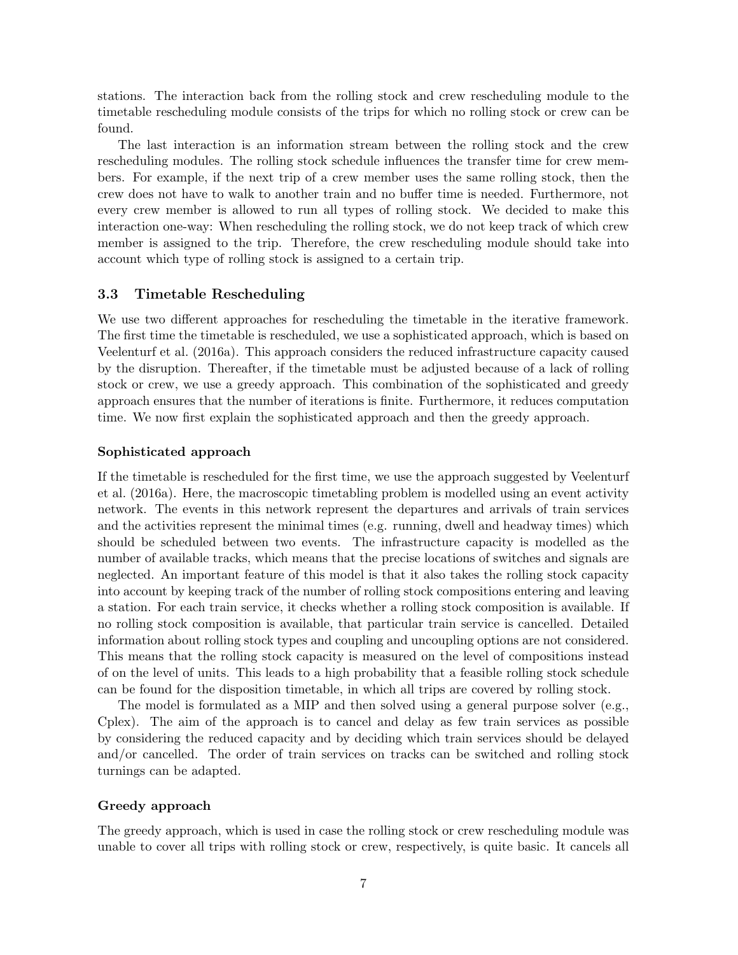stations. The interaction back from the rolling stock and crew rescheduling module to the timetable rescheduling module consists of the trips for which no rolling stock or crew can be found.

The last interaction is an information stream between the rolling stock and the crew rescheduling modules. The rolling stock schedule influences the transfer time for crew members. For example, if the next trip of a crew member uses the same rolling stock, then the crew does not have to walk to another train and no buffer time is needed. Furthermore, not every crew member is allowed to run all types of rolling stock. We decided to make this interaction one-way: When rescheduling the rolling stock, we do not keep track of which crew member is assigned to the trip. Therefore, the crew rescheduling module should take into account which type of rolling stock is assigned to a certain trip.

#### 3.3 Timetable Rescheduling

We use two different approaches for rescheduling the timetable in the iterative framework. The first time the timetable is rescheduled, we use a sophisticated approach, which is based on Veelenturf et al. (2016a). This approach considers the reduced infrastructure capacity caused by the disruption. Thereafter, if the timetable must be adjusted because of a lack of rolling stock or crew, we use a greedy approach. This combination of the sophisticated and greedy approach ensures that the number of iterations is finite. Furthermore, it reduces computation time. We now first explain the sophisticated approach and then the greedy approach.

#### Sophisticated approach

If the timetable is rescheduled for the first time, we use the approach suggested by Veelenturf et al. (2016a). Here, the macroscopic timetabling problem is modelled using an event activity network. The events in this network represent the departures and arrivals of train services and the activities represent the minimal times (e.g. running, dwell and headway times) which should be scheduled between two events. The infrastructure capacity is modelled as the number of available tracks, which means that the precise locations of switches and signals are neglected. An important feature of this model is that it also takes the rolling stock capacity into account by keeping track of the number of rolling stock compositions entering and leaving a station. For each train service, it checks whether a rolling stock composition is available. If no rolling stock composition is available, that particular train service is cancelled. Detailed information about rolling stock types and coupling and uncoupling options are not considered. This means that the rolling stock capacity is measured on the level of compositions instead of on the level of units. This leads to a high probability that a feasible rolling stock schedule can be found for the disposition timetable, in which all trips are covered by rolling stock.

The model is formulated as a MIP and then solved using a general purpose solver (e.g., Cplex). The aim of the approach is to cancel and delay as few train services as possible by considering the reduced capacity and by deciding which train services should be delayed and/or cancelled. The order of train services on tracks can be switched and rolling stock turnings can be adapted.

#### Greedy approach

The greedy approach, which is used in case the rolling stock or crew rescheduling module was unable to cover all trips with rolling stock or crew, respectively, is quite basic. It cancels all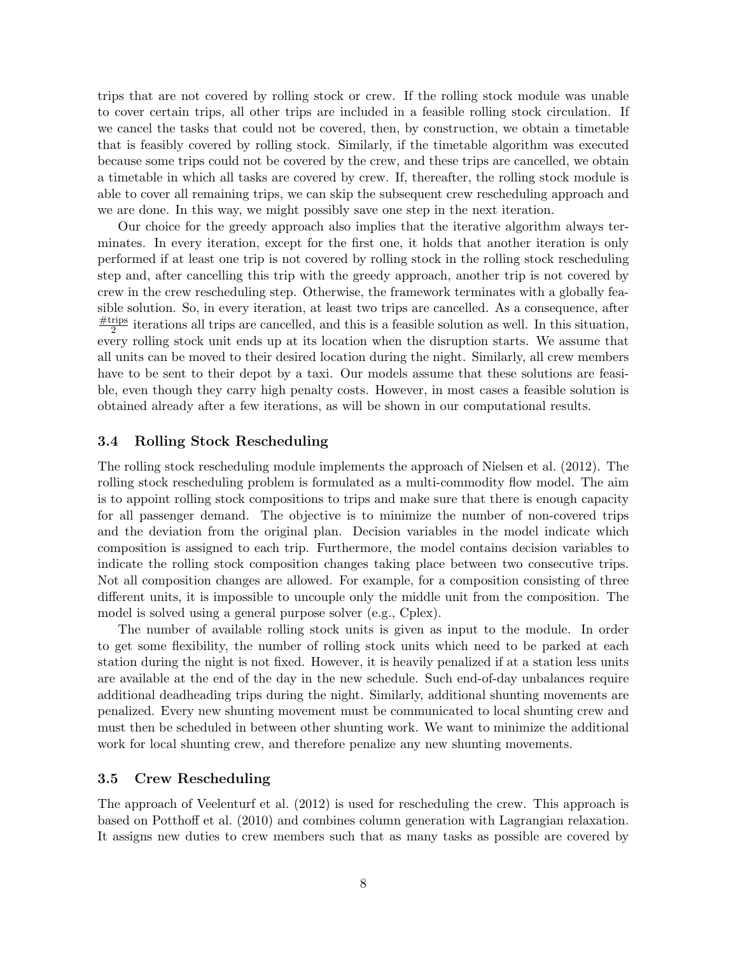trips that are not covered by rolling stock or crew. If the rolling stock module was unable to cover certain trips, all other trips are included in a feasible rolling stock circulation. If we cancel the tasks that could not be covered, then, by construction, we obtain a timetable that is feasibly covered by rolling stock. Similarly, if the timetable algorithm was executed because some trips could not be covered by the crew, and these trips are cancelled, we obtain a timetable in which all tasks are covered by crew. If, thereafter, the rolling stock module is able to cover all remaining trips, we can skip the subsequent crew rescheduling approach and we are done. In this way, we might possibly save one step in the next iteration.

Our choice for the greedy approach also implies that the iterative algorithm always terminates. In every iteration, except for the first one, it holds that another iteration is only performed if at least one trip is not covered by rolling stock in the rolling stock rescheduling step and, after cancelling this trip with the greedy approach, another trip is not covered by crew in the crew rescheduling step. Otherwise, the framework terminates with a globally feasible solution. So, in every iteration, at least two trips are cancelled. As a consequence, after #trips  $\frac{1}{2}$  iterations all trips are cancelled, and this is a feasible solution as well. In this situation, every rolling stock unit ends up at its location when the disruption starts. We assume that all units can be moved to their desired location during the night. Similarly, all crew members have to be sent to their depot by a taxi. Our models assume that these solutions are feasible, even though they carry high penalty costs. However, in most cases a feasible solution is obtained already after a few iterations, as will be shown in our computational results.

#### 3.4 Rolling Stock Rescheduling

The rolling stock rescheduling module implements the approach of Nielsen et al. (2012). The rolling stock rescheduling problem is formulated as a multi-commodity flow model. The aim is to appoint rolling stock compositions to trips and make sure that there is enough capacity for all passenger demand. The objective is to minimize the number of non-covered trips and the deviation from the original plan. Decision variables in the model indicate which composition is assigned to each trip. Furthermore, the model contains decision variables to indicate the rolling stock composition changes taking place between two consecutive trips. Not all composition changes are allowed. For example, for a composition consisting of three different units, it is impossible to uncouple only the middle unit from the composition. The model is solved using a general purpose solver (e.g., Cplex).

The number of available rolling stock units is given as input to the module. In order to get some flexibility, the number of rolling stock units which need to be parked at each station during the night is not fixed. However, it is heavily penalized if at a station less units are available at the end of the day in the new schedule. Such end-of-day unbalances require additional deadheading trips during the night. Similarly, additional shunting movements are penalized. Every new shunting movement must be communicated to local shunting crew and must then be scheduled in between other shunting work. We want to minimize the additional work for local shunting crew, and therefore penalize any new shunting movements.

### 3.5 Crew Rescheduling

The approach of Veelenturf et al. (2012) is used for rescheduling the crew. This approach is based on Potthoff et al. (2010) and combines column generation with Lagrangian relaxation. It assigns new duties to crew members such that as many tasks as possible are covered by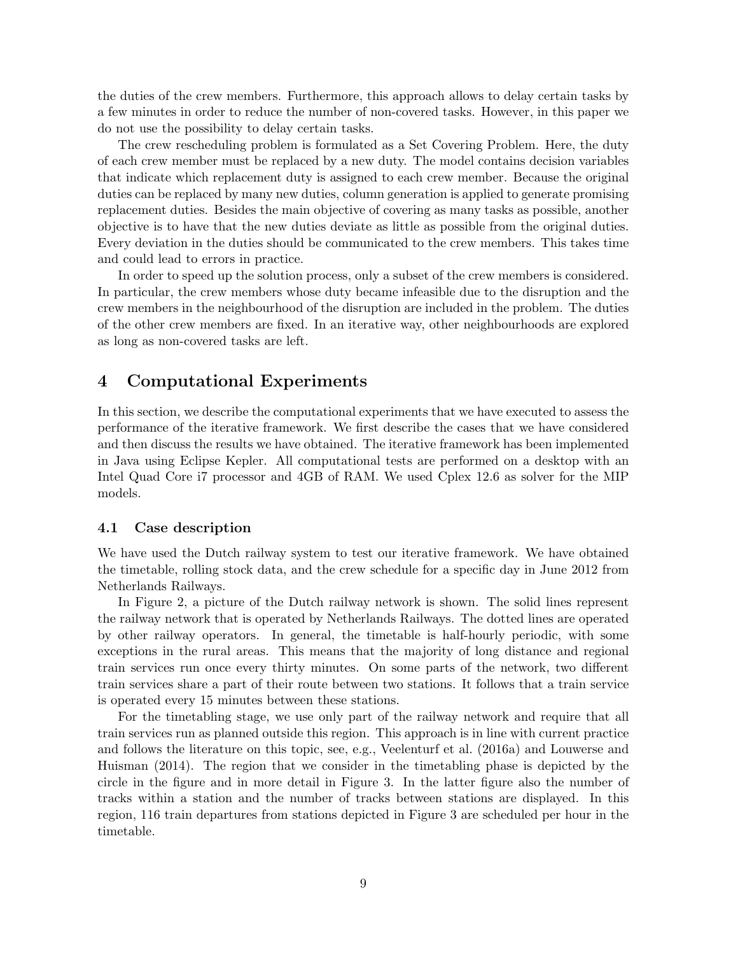the duties of the crew members. Furthermore, this approach allows to delay certain tasks by a few minutes in order to reduce the number of non-covered tasks. However, in this paper we do not use the possibility to delay certain tasks.

The crew rescheduling problem is formulated as a Set Covering Problem. Here, the duty of each crew member must be replaced by a new duty. The model contains decision variables that indicate which replacement duty is assigned to each crew member. Because the original duties can be replaced by many new duties, column generation is applied to generate promising replacement duties. Besides the main objective of covering as many tasks as possible, another objective is to have that the new duties deviate as little as possible from the original duties. Every deviation in the duties should be communicated to the crew members. This takes time and could lead to errors in practice.

In order to speed up the solution process, only a subset of the crew members is considered. In particular, the crew members whose duty became infeasible due to the disruption and the crew members in the neighbourhood of the disruption are included in the problem. The duties of the other crew members are fixed. In an iterative way, other neighbourhoods are explored as long as non-covered tasks are left.

# 4 Computational Experiments

In this section, we describe the computational experiments that we have executed to assess the performance of the iterative framework. We first describe the cases that we have considered and then discuss the results we have obtained. The iterative framework has been implemented in Java using Eclipse Kepler. All computational tests are performed on a desktop with an Intel Quad Core i7 processor and 4GB of RAM. We used Cplex 12.6 as solver for the MIP models.

#### 4.1 Case description

We have used the Dutch railway system to test our iterative framework. We have obtained the timetable, rolling stock data, and the crew schedule for a specific day in June 2012 from Netherlands Railways.

In Figure 2, a picture of the Dutch railway network is shown. The solid lines represent the railway network that is operated by Netherlands Railways. The dotted lines are operated by other railway operators. In general, the timetable is half-hourly periodic, with some exceptions in the rural areas. This means that the majority of long distance and regional train services run once every thirty minutes. On some parts of the network, two different train services share a part of their route between two stations. It follows that a train service is operated every 15 minutes between these stations.

For the timetabling stage, we use only part of the railway network and require that all train services run as planned outside this region. This approach is in line with current practice and follows the literature on this topic, see, e.g., Veelenturf et al. (2016a) and Louwerse and Huisman (2014). The region that we consider in the timetabling phase is depicted by the circle in the figure and in more detail in Figure 3. In the latter figure also the number of tracks within a station and the number of tracks between stations are displayed. In this region, 116 train departures from stations depicted in Figure 3 are scheduled per hour in the timetable.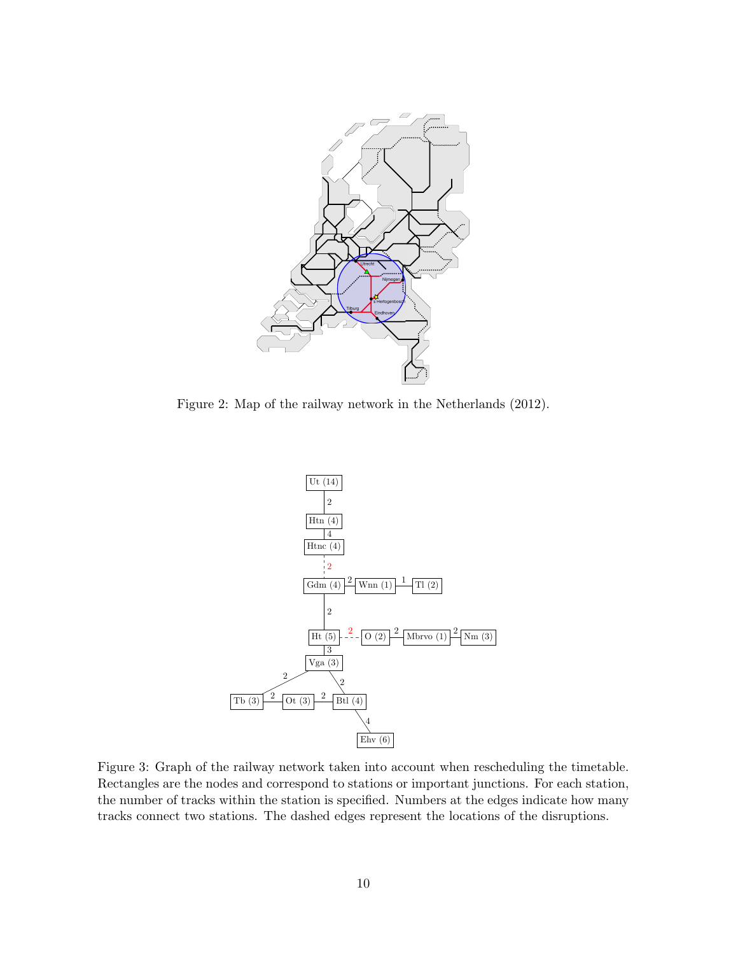

Figure 2: Map of the railway network in the Netherlands (2012).



Figure 3: Graph of the railway network taken into account when rescheduling the timetable. Rectangles are the nodes and correspond to stations or important junctions. For each station, the number of tracks within the station is specified. Numbers at the edges indicate how many tracks connect two stations. The dashed edges represent the locations of the disruptions.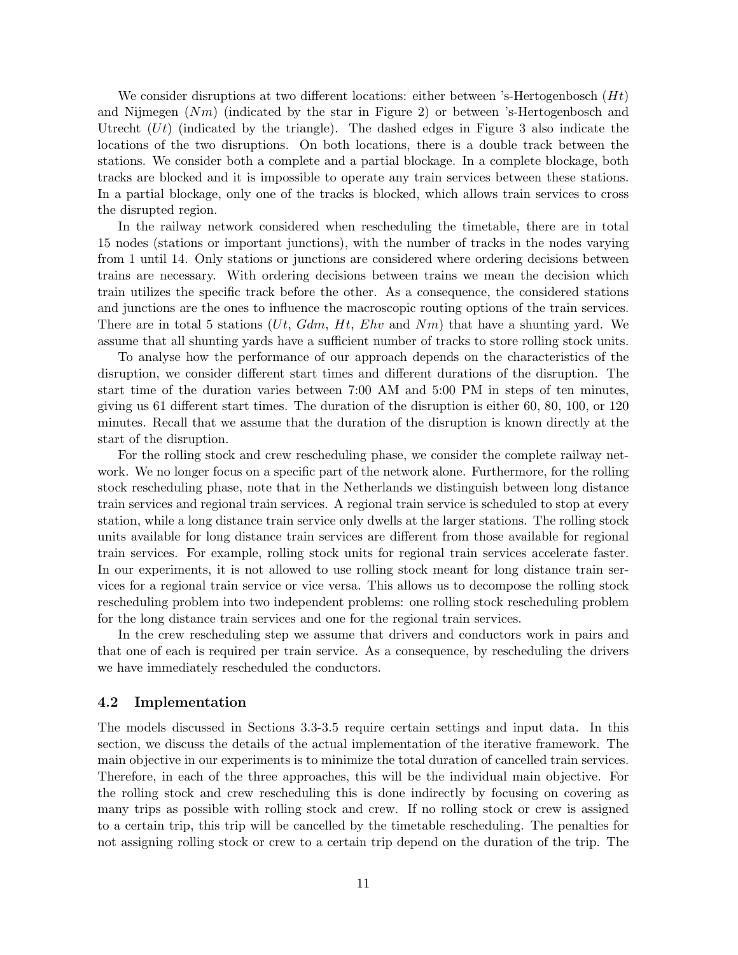We consider disruptions at two different locations: either between 's-Hertogenbosch  $(Ht)$ and Nijmegen  $(Nm)$  (indicated by the star in Figure 2) or between 's-Hertogenbosch and Utrecht  $(Ut)$  (indicated by the triangle). The dashed edges in Figure 3 also indicate the locations of the two disruptions. On both locations, there is a double track between the stations. We consider both a complete and a partial blockage. In a complete blockage, both tracks are blocked and it is impossible to operate any train services between these stations. In a partial blockage, only one of the tracks is blocked, which allows train services to cross the disrupted region.

In the railway network considered when rescheduling the timetable, there are in total 15 nodes (stations or important junctions), with the number of tracks in the nodes varying from 1 until 14. Only stations or junctions are considered where ordering decisions between trains are necessary. With ordering decisions between trains we mean the decision which train utilizes the specific track before the other. As a consequence, the considered stations and junctions are the ones to influence the macroscopic routing options of the train services. There are in total 5 stations  $(Ut, Gdm, Ht, Ehv$  and  $Nm)$  that have a shunting yard. We assume that all shunting yards have a sufficient number of tracks to store rolling stock units.

To analyse how the performance of our approach depends on the characteristics of the disruption, we consider different start times and different durations of the disruption. The start time of the duration varies between 7:00 AM and 5:00 PM in steps of ten minutes, giving us 61 different start times. The duration of the disruption is either 60, 80, 100, or 120 minutes. Recall that we assume that the duration of the disruption is known directly at the start of the disruption.

For the rolling stock and crew rescheduling phase, we consider the complete railway network. We no longer focus on a specific part of the network alone. Furthermore, for the rolling stock rescheduling phase, note that in the Netherlands we distinguish between long distance train services and regional train services. A regional train service is scheduled to stop at every station, while a long distance train service only dwells at the larger stations. The rolling stock units available for long distance train services are different from those available for regional train services. For example, rolling stock units for regional train services accelerate faster. In our experiments, it is not allowed to use rolling stock meant for long distance train services for a regional train service or vice versa. This allows us to decompose the rolling stock rescheduling problem into two independent problems: one rolling stock rescheduling problem for the long distance train services and one for the regional train services.

In the crew rescheduling step we assume that drivers and conductors work in pairs and that one of each is required per train service. As a consequence, by rescheduling the drivers we have immediately rescheduled the conductors.

### 4.2 Implementation

The models discussed in Sections 3.3-3.5 require certain settings and input data. In this section, we discuss the details of the actual implementation of the iterative framework. The main objective in our experiments is to minimize the total duration of cancelled train services. Therefore, in each of the three approaches, this will be the individual main objective. For the rolling stock and crew rescheduling this is done indirectly by focusing on covering as many trips as possible with rolling stock and crew. If no rolling stock or crew is assigned to a certain trip, this trip will be cancelled by the timetable rescheduling. The penalties for not assigning rolling stock or crew to a certain trip depend on the duration of the trip. The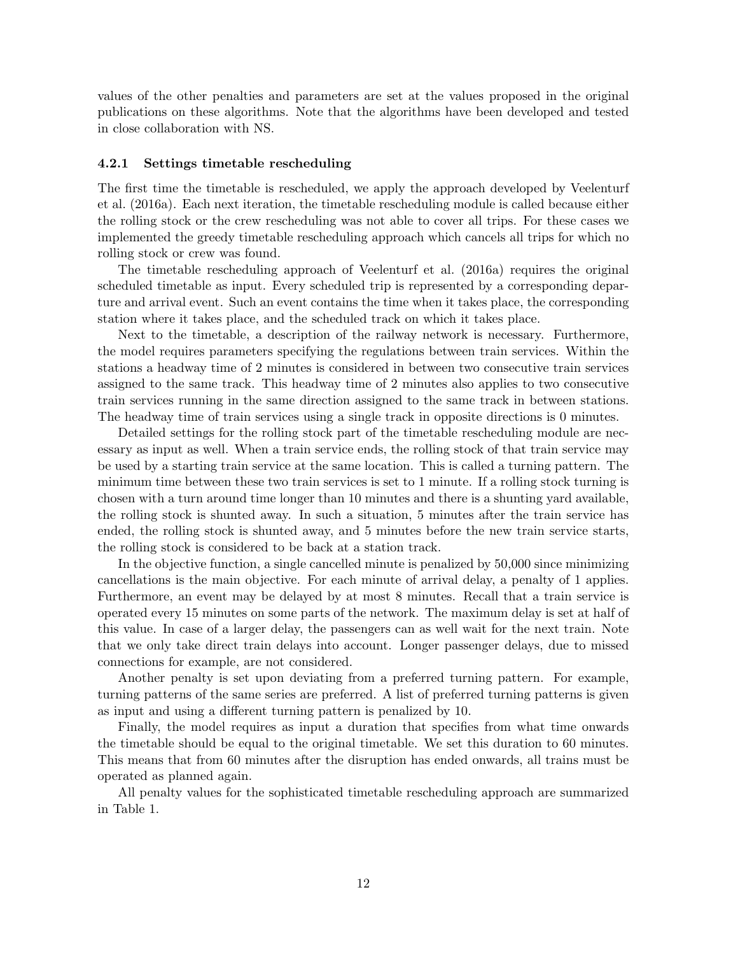values of the other penalties and parameters are set at the values proposed in the original publications on these algorithms. Note that the algorithms have been developed and tested in close collaboration with NS.

#### 4.2.1 Settings timetable rescheduling

The first time the timetable is rescheduled, we apply the approach developed by Veelenturf et al. (2016a). Each next iteration, the timetable rescheduling module is called because either the rolling stock or the crew rescheduling was not able to cover all trips. For these cases we implemented the greedy timetable rescheduling approach which cancels all trips for which no rolling stock or crew was found.

The timetable rescheduling approach of Veelenturf et al. (2016a) requires the original scheduled timetable as input. Every scheduled trip is represented by a corresponding departure and arrival event. Such an event contains the time when it takes place, the corresponding station where it takes place, and the scheduled track on which it takes place.

Next to the timetable, a description of the railway network is necessary. Furthermore, the model requires parameters specifying the regulations between train services. Within the stations a headway time of 2 minutes is considered in between two consecutive train services assigned to the same track. This headway time of 2 minutes also applies to two consecutive train services running in the same direction assigned to the same track in between stations. The headway time of train services using a single track in opposite directions is 0 minutes.

Detailed settings for the rolling stock part of the timetable rescheduling module are necessary as input as well. When a train service ends, the rolling stock of that train service may be used by a starting train service at the same location. This is called a turning pattern. The minimum time between these two train services is set to 1 minute. If a rolling stock turning is chosen with a turn around time longer than 10 minutes and there is a shunting yard available, the rolling stock is shunted away. In such a situation, 5 minutes after the train service has ended, the rolling stock is shunted away, and 5 minutes before the new train service starts, the rolling stock is considered to be back at a station track.

In the objective function, a single cancelled minute is penalized by 50,000 since minimizing cancellations is the main objective. For each minute of arrival delay, a penalty of 1 applies. Furthermore, an event may be delayed by at most 8 minutes. Recall that a train service is operated every 15 minutes on some parts of the network. The maximum delay is set at half of this value. In case of a larger delay, the passengers can as well wait for the next train. Note that we only take direct train delays into account. Longer passenger delays, due to missed connections for example, are not considered.

Another penalty is set upon deviating from a preferred turning pattern. For example, turning patterns of the same series are preferred. A list of preferred turning patterns is given as input and using a different turning pattern is penalized by 10.

Finally, the model requires as input a duration that specifies from what time onwards the timetable should be equal to the original timetable. We set this duration to 60 minutes. This means that from 60 minutes after the disruption has ended onwards, all trains must be operated as planned again.

All penalty values for the sophisticated timetable rescheduling approach are summarized in Table 1.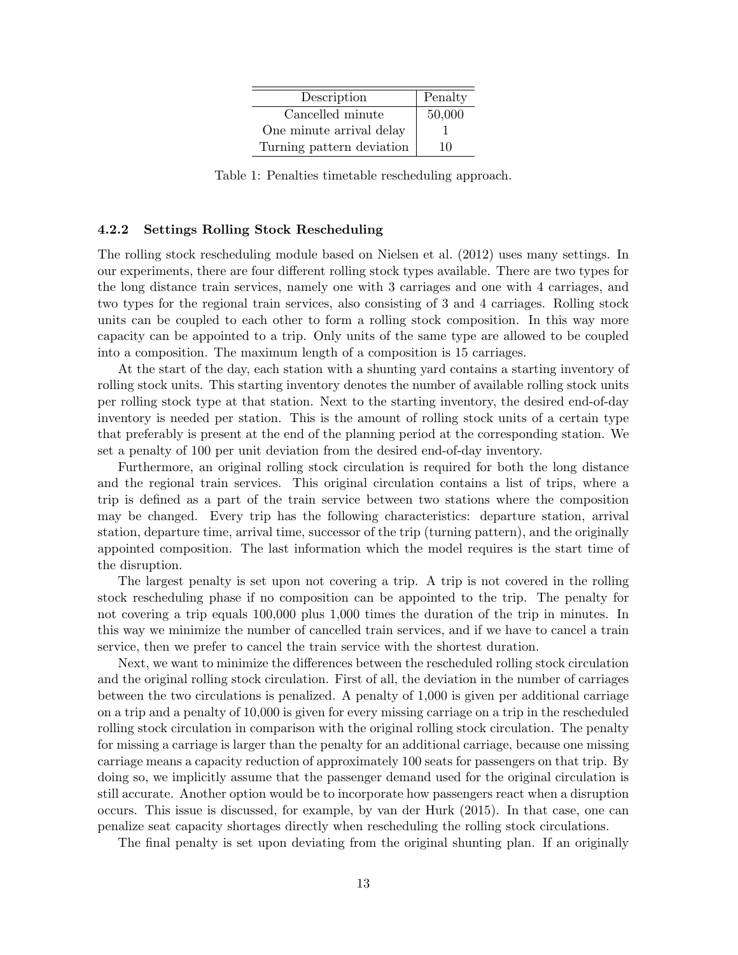| Description               | Penalty |
|---------------------------|---------|
| Cancelled minute          | 50,000  |
| One minute arrival delay  |         |
| Turning pattern deviation | 10      |

Table 1: Penalties timetable rescheduling approach.

#### 4.2.2 Settings Rolling Stock Rescheduling

The rolling stock rescheduling module based on Nielsen et al. (2012) uses many settings. In our experiments, there are four different rolling stock types available. There are two types for the long distance train services, namely one with 3 carriages and one with 4 carriages, and two types for the regional train services, also consisting of 3 and 4 carriages. Rolling stock units can be coupled to each other to form a rolling stock composition. In this way more capacity can be appointed to a trip. Only units of the same type are allowed to be coupled into a composition. The maximum length of a composition is 15 carriages.

At the start of the day, each station with a shunting yard contains a starting inventory of rolling stock units. This starting inventory denotes the number of available rolling stock units per rolling stock type at that station. Next to the starting inventory, the desired end-of-day inventory is needed per station. This is the amount of rolling stock units of a certain type that preferably is present at the end of the planning period at the corresponding station. We set a penalty of 100 per unit deviation from the desired end-of-day inventory.

Furthermore, an original rolling stock circulation is required for both the long distance and the regional train services. This original circulation contains a list of trips, where a trip is defined as a part of the train service between two stations where the composition may be changed. Every trip has the following characteristics: departure station, arrival station, departure time, arrival time, successor of the trip (turning pattern), and the originally appointed composition. The last information which the model requires is the start time of the disruption.

The largest penalty is set upon not covering a trip. A trip is not covered in the rolling stock rescheduling phase if no composition can be appointed to the trip. The penalty for not covering a trip equals 100,000 plus 1,000 times the duration of the trip in minutes. In this way we minimize the number of cancelled train services, and if we have to cancel a train service, then we prefer to cancel the train service with the shortest duration.

Next, we want to minimize the differences between the rescheduled rolling stock circulation and the original rolling stock circulation. First of all, the deviation in the number of carriages between the two circulations is penalized. A penalty of 1,000 is given per additional carriage on a trip and a penalty of 10,000 is given for every missing carriage on a trip in the rescheduled rolling stock circulation in comparison with the original rolling stock circulation. The penalty for missing a carriage is larger than the penalty for an additional carriage, because one missing carriage means a capacity reduction of approximately 100 seats for passengers on that trip. By doing so, we implicitly assume that the passenger demand used for the original circulation is still accurate. Another option would be to incorporate how passengers react when a disruption occurs. This issue is discussed, for example, by van der Hurk (2015). In that case, one can penalize seat capacity shortages directly when rescheduling the rolling stock circulations.

The final penalty is set upon deviating from the original shunting plan. If an originally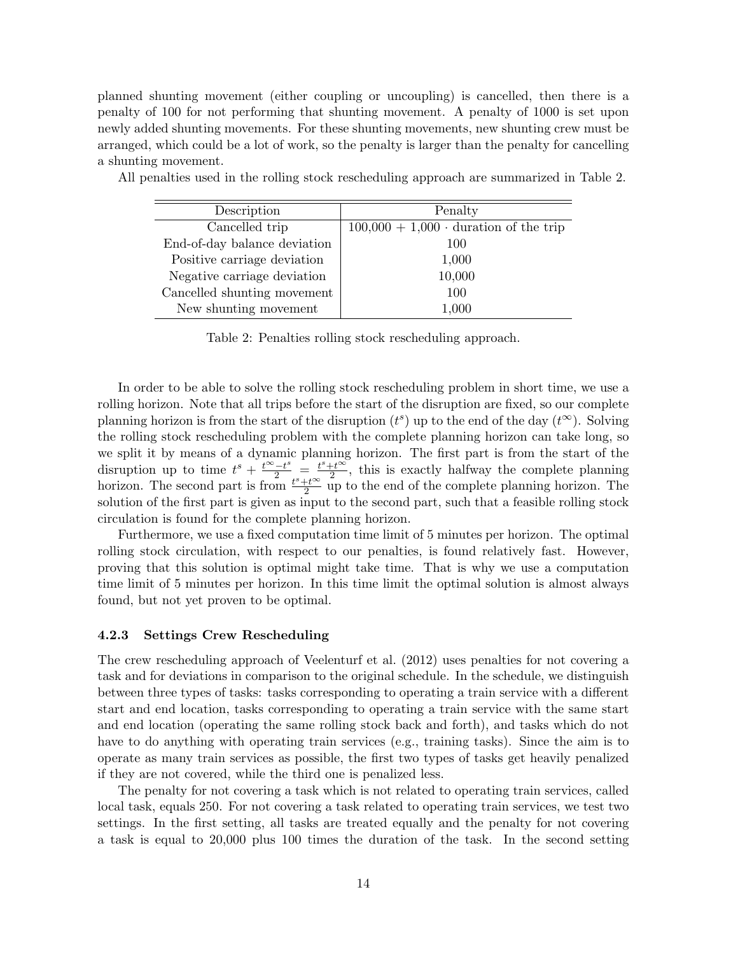planned shunting movement (either coupling or uncoupling) is cancelled, then there is a penalty of 100 for not performing that shunting movement. A penalty of 1000 is set upon newly added shunting movements. For these shunting movements, new shunting crew must be arranged, which could be a lot of work, so the penalty is larger than the penalty for cancelling a shunting movement.

| Description                  | Penalty                                |  |  |
|------------------------------|----------------------------------------|--|--|
| Cancelled trip               | $100,000 + 1,000$ duration of the trip |  |  |
| End-of-day balance deviation | 100                                    |  |  |
| Positive carriage deviation  | 1,000                                  |  |  |
| Negative carriage deviation  | 10,000                                 |  |  |
| Cancelled shunting movement  | 100                                    |  |  |
| New shunting movement        | 1,000                                  |  |  |

All penalties used in the rolling stock rescheduling approach are summarized in Table 2.

Table 2: Penalties rolling stock rescheduling approach.

In order to be able to solve the rolling stock rescheduling problem in short time, we use a rolling horizon. Note that all trips before the start of the disruption are fixed, so our complete planning horizon is from the start of the disruption  $(t^s)$  up to the end of the day  $(t^{\infty})$ . Solving the rolling stock rescheduling problem with the complete planning horizon can take long, so we split it by means of a dynamic planning horizon. The first part is from the start of the disruption up to time  $t^s + \frac{t^{\infty} - t^s}{2} = \frac{t^s + t^{\infty}}{2}$  $\frac{1+t^{\infty}}{2}$ , this is exactly halfway the complete planning horizon. The second part is from  $\frac{t^s + t^{\infty}}{2}$  $\frac{2t^2}{2}$  up to the end of the complete planning horizon. The solution of the first part is given as input to the second part, such that a feasible rolling stock circulation is found for the complete planning horizon.

Furthermore, we use a fixed computation time limit of 5 minutes per horizon. The optimal rolling stock circulation, with respect to our penalties, is found relatively fast. However, proving that this solution is optimal might take time. That is why we use a computation time limit of 5 minutes per horizon. In this time limit the optimal solution is almost always found, but not yet proven to be optimal.

#### 4.2.3 Settings Crew Rescheduling

The crew rescheduling approach of Veelenturf et al. (2012) uses penalties for not covering a task and for deviations in comparison to the original schedule. In the schedule, we distinguish between three types of tasks: tasks corresponding to operating a train service with a different start and end location, tasks corresponding to operating a train service with the same start and end location (operating the same rolling stock back and forth), and tasks which do not have to do anything with operating train services (e.g., training tasks). Since the aim is to operate as many train services as possible, the first two types of tasks get heavily penalized if they are not covered, while the third one is penalized less.

The penalty for not covering a task which is not related to operating train services, called local task, equals 250. For not covering a task related to operating train services, we test two settings. In the first setting, all tasks are treated equally and the penalty for not covering a task is equal to 20,000 plus 100 times the duration of the task. In the second setting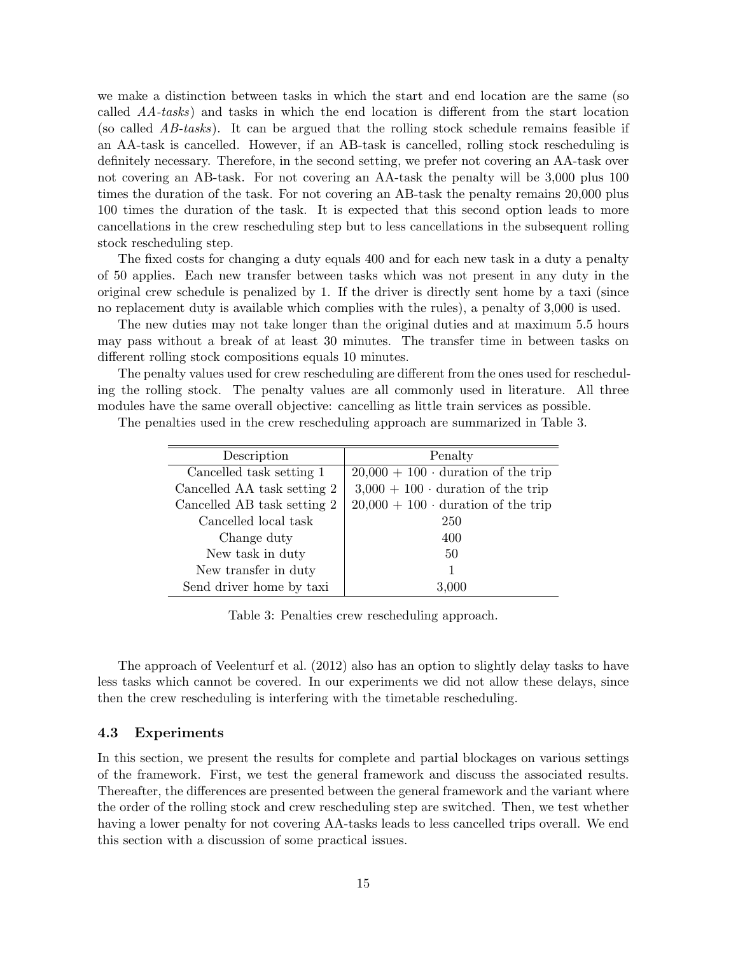we make a distinction between tasks in which the start and end location are the same (so called AA-tasks) and tasks in which the end location is different from the start location (so called AB-tasks). It can be argued that the rolling stock schedule remains feasible if an AA-task is cancelled. However, if an AB-task is cancelled, rolling stock rescheduling is definitely necessary. Therefore, in the second setting, we prefer not covering an AA-task over not covering an AB-task. For not covering an AA-task the penalty will be 3,000 plus 100 times the duration of the task. For not covering an AB-task the penalty remains 20,000 plus 100 times the duration of the task. It is expected that this second option leads to more cancellations in the crew rescheduling step but to less cancellations in the subsequent rolling stock rescheduling step.

The fixed costs for changing a duty equals 400 and for each new task in a duty a penalty of 50 applies. Each new transfer between tasks which was not present in any duty in the original crew schedule is penalized by 1. If the driver is directly sent home by a taxi (since no replacement duty is available which complies with the rules), a penalty of 3,000 is used.

The new duties may not take longer than the original duties and at maximum 5.5 hours may pass without a break of at least 30 minutes. The transfer time in between tasks on different rolling stock compositions equals 10 minutes.

The penalty values used for crew rescheduling are different from the ones used for rescheduling the rolling stock. The penalty values are all commonly used in literature. All three modules have the same overall objective: cancelling as little train services as possible.

| Description                 | Penalty                                   |
|-----------------------------|-------------------------------------------|
| Cancelled task setting 1    | $20,000 + 100$ duration of the trip       |
| Cancelled AA task setting 2 | $3,000 + 100 \cdot$ duration of the trip  |
| Cancelled AB task setting 2 | $20,000 + 100 \cdot$ duration of the trip |
| Cancelled local task        | 250                                       |
| Change duty                 | 400                                       |
| New task in duty            | 50                                        |
| New transfer in duty        | 1                                         |
| Send driver home by taxi    | 3,000                                     |

The penalties used in the crew rescheduling approach are summarized in Table 3.

Table 3: Penalties crew rescheduling approach.

The approach of Veelenturf et al. (2012) also has an option to slightly delay tasks to have less tasks which cannot be covered. In our experiments we did not allow these delays, since then the crew rescheduling is interfering with the timetable rescheduling.

### 4.3 Experiments

In this section, we present the results for complete and partial blockages on various settings of the framework. First, we test the general framework and discuss the associated results. Thereafter, the differences are presented between the general framework and the variant where the order of the rolling stock and crew rescheduling step are switched. Then, we test whether having a lower penalty for not covering AA-tasks leads to less cancelled trips overall. We end this section with a discussion of some practical issues.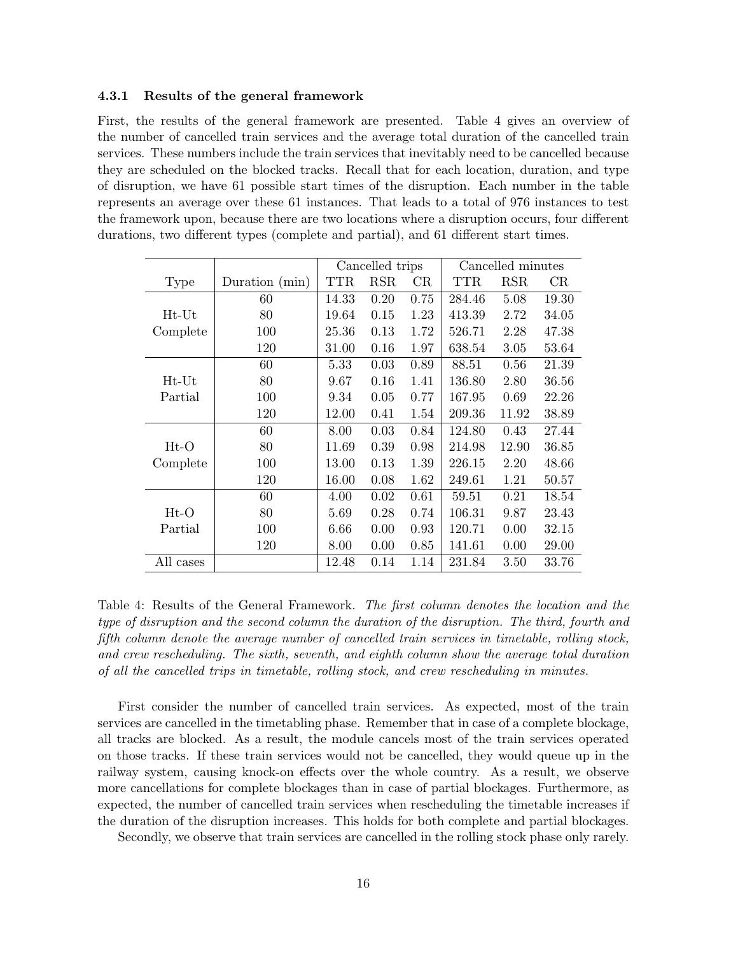#### 4.3.1 Results of the general framework

First, the results of the general framework are presented. Table 4 gives an overview of the number of cancelled train services and the average total duration of the cancelled train services. These numbers include the train services that inevitably need to be cancelled because they are scheduled on the blocked tracks. Recall that for each location, duration, and type of disruption, we have 61 possible start times of the disruption. Each number in the table represents an average over these 61 instances. That leads to a total of 976 instances to test the framework upon, because there are two locations where a disruption occurs, four different durations, two different types (complete and partial), and 61 different start times.

|           |                | Cancelled trips |            |      | Cancelled minutes |            |       |
|-----------|----------------|-----------------|------------|------|-------------------|------------|-------|
| Type      | Duration (min) | <b>TTR</b>      | <b>RSR</b> | CR   | <b>TTR</b>        | <b>RSR</b> | CR    |
|           | 60             | 14.33           | 0.20       | 0.75 | 284.46            | 5.08       | 19.30 |
| $Ht-Ut$   | 80             | 19.64           | 0.15       | 1.23 | 413.39            | 2.72       | 34.05 |
| Complete  | 100            | 25.36           | 0.13       | 1.72 | 526.71            | 2.28       | 47.38 |
|           | 120            | 31.00           | 0.16       | 1.97 | 638.54            | 3.05       | 53.64 |
|           | 60             | 5.33            | 0.03       | 0.89 | 88.51             | 0.56       | 21.39 |
| $Ht-Ut$   | 80             | 9.67            | 0.16       | 1.41 | 136.80            | 2.80       | 36.56 |
| Partial   | 100            | 9.34            | 0.05       | 0.77 | 167.95            | 0.69       | 22.26 |
|           | 120            | 12.00           | 0.41       | 1.54 | 209.36            | 11.92      | 38.89 |
|           | 60             | 8.00            | 0.03       | 0.84 | 124.80            | 0.43       | 27.44 |
| $Ht-O$    | 80             | 11.69           | 0.39       | 0.98 | 214.98            | 12.90      | 36.85 |
| Complete  | 100            | 13.00           | 0.13       | 1.39 | 226.15            | 2.20       | 48.66 |
|           | 120            | 16.00           | 0.08       | 1.62 | 249.61            | 1.21       | 50.57 |
|           | 60             | 4.00            | 0.02       | 0.61 | 59.51             | 0.21       | 18.54 |
| $Ht-O$    | 80             | 5.69            | 0.28       | 0.74 | 106.31            | 9.87       | 23.43 |
| Partial   | 100            | 6.66            | 0.00       | 0.93 | 120.71            | 0.00       | 32.15 |
|           | 120            | 8.00            | 0.00       | 0.85 | 141.61            | 0.00       | 29.00 |
| All cases |                | 12.48           | 0.14       | 1.14 | 231.84            | 3.50       | 33.76 |

Table 4: Results of the General Framework. The first column denotes the location and the type of disruption and the second column the duration of the disruption. The third, fourth and fifth column denote the average number of cancelled train services in timetable, rolling stock, and crew rescheduling. The sixth, seventh, and eighth column show the average total duration of all the cancelled trips in timetable, rolling stock, and crew rescheduling in minutes.

First consider the number of cancelled train services. As expected, most of the train services are cancelled in the timetabling phase. Remember that in case of a complete blockage, all tracks are blocked. As a result, the module cancels most of the train services operated on those tracks. If these train services would not be cancelled, they would queue up in the railway system, causing knock-on effects over the whole country. As a result, we observe more cancellations for complete blockages than in case of partial blockages. Furthermore, as expected, the number of cancelled train services when rescheduling the timetable increases if the duration of the disruption increases. This holds for both complete and partial blockages.

Secondly, we observe that train services are cancelled in the rolling stock phase only rarely.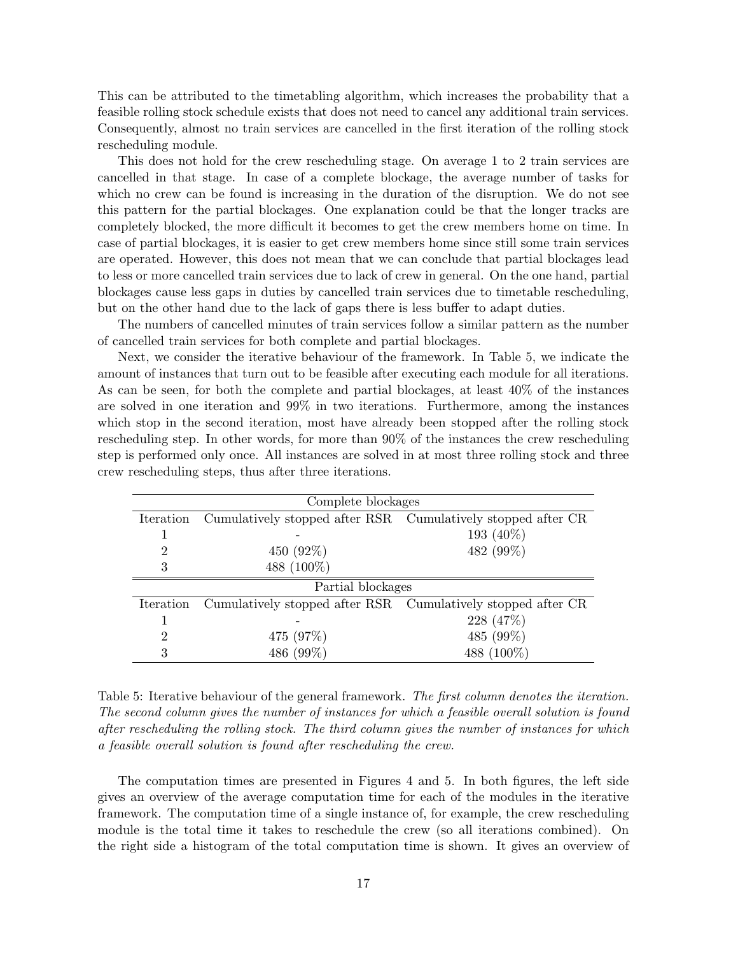This can be attributed to the timetabling algorithm, which increases the probability that a feasible rolling stock schedule exists that does not need to cancel any additional train services. Consequently, almost no train services are cancelled in the first iteration of the rolling stock rescheduling module.

This does not hold for the crew rescheduling stage. On average 1 to 2 train services are cancelled in that stage. In case of a complete blockage, the average number of tasks for which no crew can be found is increasing in the duration of the disruption. We do not see this pattern for the partial blockages. One explanation could be that the longer tracks are completely blocked, the more difficult it becomes to get the crew members home on time. In case of partial blockages, it is easier to get crew members home since still some train services are operated. However, this does not mean that we can conclude that partial blockages lead to less or more cancelled train services due to lack of crew in general. On the one hand, partial blockages cause less gaps in duties by cancelled train services due to timetable rescheduling, but on the other hand due to the lack of gaps there is less buffer to adapt duties.

The numbers of cancelled minutes of train services follow a similar pattern as the number of cancelled train services for both complete and partial blockages.

Next, we consider the iterative behaviour of the framework. In Table 5, we indicate the amount of instances that turn out to be feasible after executing each module for all iterations. As can be seen, for both the complete and partial blockages, at least 40% of the instances are solved in one iteration and 99% in two iterations. Furthermore, among the instances which stop in the second iteration, most have already been stopped after the rolling stock rescheduling step. In other words, for more than 90% of the instances the crew rescheduling step is performed only once. All instances are solved in at most three rolling stock and three crew rescheduling steps, thus after three iterations.

| Complete blockages |                                                              |            |  |  |  |
|--------------------|--------------------------------------------------------------|------------|--|--|--|
| Iteration          | Cumulatively stopped after RSR Cumulatively stopped after CR |            |  |  |  |
|                    |                                                              | 193 (40\%) |  |  |  |
| $\overline{2}$     | 450 $(92\%)$                                                 | 482 (99%)  |  |  |  |
| 3                  | 488 (100%)                                                   |            |  |  |  |
| Partial blockages  |                                                              |            |  |  |  |
| Iteration          | Cumulatively stopped after RSR Cumulatively stopped after CR |            |  |  |  |
|                    |                                                              | 228 (47%)  |  |  |  |
| $\overline{2}$     | 475 (97%)                                                    | 485 (99%)  |  |  |  |
| 3                  | 486 (99%)                                                    | 488 (100%) |  |  |  |

Table 5: Iterative behaviour of the general framework. The first column denotes the iteration. The second column gives the number of instances for which a feasible overall solution is found after rescheduling the rolling stock. The third column gives the number of instances for which a feasible overall solution is found after rescheduling the crew.

The computation times are presented in Figures 4 and 5. In both figures, the left side gives an overview of the average computation time for each of the modules in the iterative framework. The computation time of a single instance of, for example, the crew rescheduling module is the total time it takes to reschedule the crew (so all iterations combined). On the right side a histogram of the total computation time is shown. It gives an overview of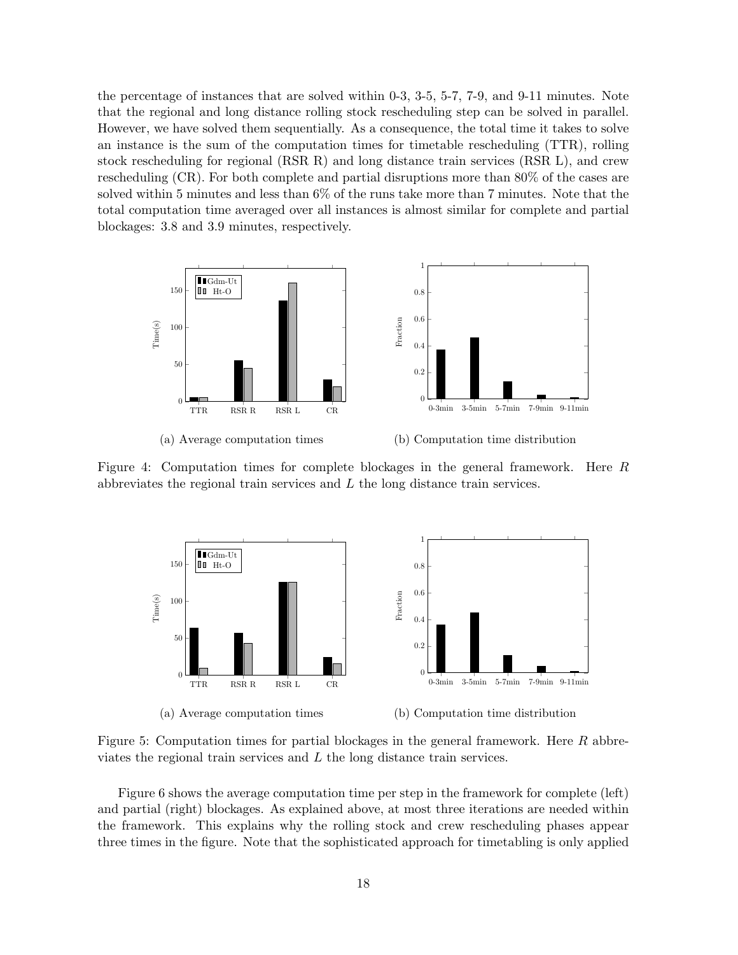the percentage of instances that are solved within 0-3, 3-5, 5-7, 7-9, and 9-11 minutes. Note that the regional and long distance rolling stock rescheduling step can be solved in parallel. However, we have solved them sequentially. As a consequence, the total time it takes to solve an instance is the sum of the computation times for timetable rescheduling (TTR), rolling stock rescheduling for regional (RSR R) and long distance train services (RSR L), and crew rescheduling (CR). For both complete and partial disruptions more than 80% of the cases are solved within 5 minutes and less than 6% of the runs take more than 7 minutes. Note that the total computation time averaged over all instances is almost similar for complete and partial blockages: 3.8 and 3.9 minutes, respectively.



abbreviates the regional train services and  $L$  the long distance train services. Figure 4: Computation times for complete blockages in the general framework. Here  $R$ 



viates the regional train services and  $L$  the long distance train services. Figure 5: Computation times for partial blockages in the general framework. Here  $R$  abbre-

the framework. This explains why the rolling stock and crew rescheduling phases appear and partial (right) blockages. As explained above, at most three iterations are needed within three times in the figure. Note that the sophisticated approach for timetabling is only applied three times in the figure. Note that the sophisticated approach for timetabling is only applied Figure 6 shows the average computation time per step in the framework for complete (left)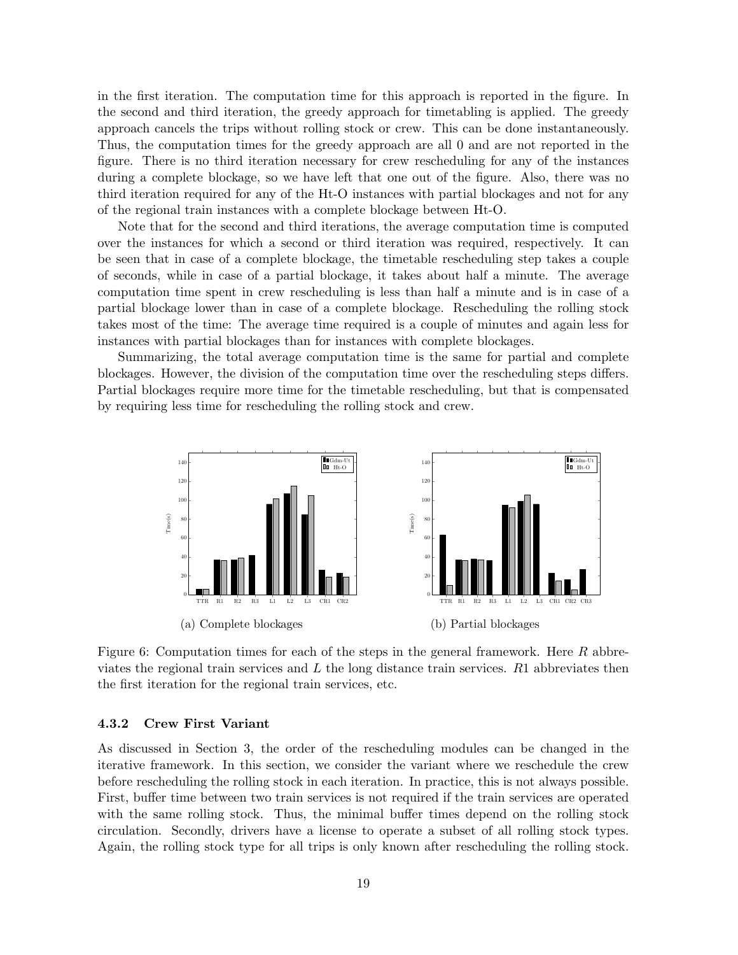in the first iteration. The computation time for this approach is reported in the figure. In the second and third iteration, the greedy approach for timetabling is applied. The greedy approach cancels the trips without rolling stock or crew. This can be done instantaneously. Thus, the computation times for the greedy approach are all 0 and are not reported in the figure. There is no third iteration necessary for crew rescheduling for any of the instances during a complete blockage, so we have left that one out of the figure. Also, there was no third iteration required for any of the Ht-O instances with partial blockages and not for any of the regional train instances with a complete blockage between Ht-O.

Note that for the second and third iterations, the average computation time is computed over the instances for which a second or third iteration was required, respectively. It can be seen that in case of a complete blockage, the timetable rescheduling step takes a couple of seconds, while in case of a partial blockage, it takes about half a minute. The average computation time spent in crew rescheduling is less than half a minute and is in case of a partial blockage lower than in case of a complete blockage. Rescheduling the rolling stock takes most of the time: The average time required is a couple of minutes and again less for instances with partial blockages than for instances with complete blockages.

Summarizing, the total average computation time is the same for partial and complete<br>  $\frac{1}{2}$ blockages. However, the division of the computation time over the rescheduling steps differs. Partial blockages require more time for the timetable rescheduling, but that is compensated by requiring less time for rescheduling the rolling stock and crew.



Figure 6: Computation times for each of the steps in the general framework. Here R abbreviates the regional train services and  $L$  the long distance train services.  $R1$  abbreviates then the first iteration for the regional train services, etc.

#### 4.3.2 Crew First Variant

As discussed in Section 3, the order of the rescheduling modules can be changed in the iterative framework. In this section, we consider the variant where we reschedule the crew before rescheduling the rolling stock in each iteration. In practice, this is not always possible. First, buffer time between two train services is not required if the train services are operated with the same rolling stock. Thus, the minimal buffer times depend on the rolling stock circulation. Secondly, drivers have a license to operate a subset of all rolling stock types. Again, the rolling stock type for all trips is only known after rescheduling the rolling stock.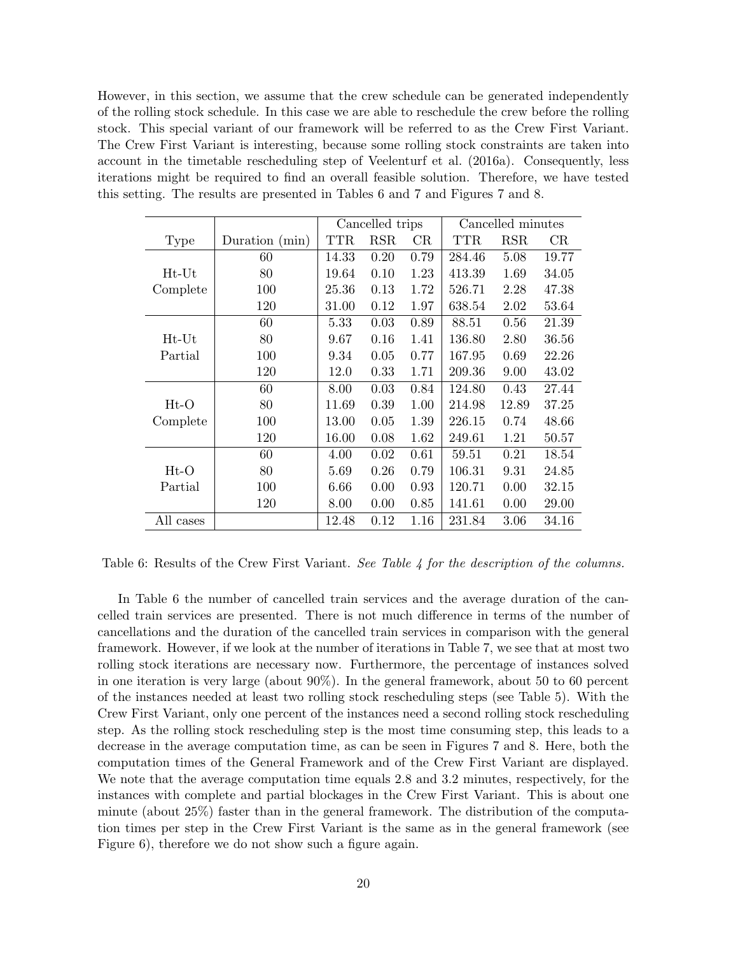However, in this section, we assume that the crew schedule can be generated independently of the rolling stock schedule. In this case we are able to reschedule the crew before the rolling stock. This special variant of our framework will be referred to as the Crew First Variant. The Crew First Variant is interesting, because some rolling stock constraints are taken into account in the timetable rescheduling step of Veelenturf et al. (2016a). Consequently, less iterations might be required to find an overall feasible solution. Therefore, we have tested this setting. The results are presented in Tables 6 and 7 and Figures 7 and 8.

|             |                | Cancelled trips |              |      | Cancelled minutes |            |       |
|-------------|----------------|-----------------|--------------|------|-------------------|------------|-------|
| <b>Type</b> | Duration (min) | <b>TTR</b>      | $_{\rm RSR}$ | CR   | TTR               | <b>RSR</b> | CR    |
|             | 60             | 14.33           | 0.20         | 0.79 | 284.46            | 5.08       | 19.77 |
| $Ht-Ut$     | 80             | 19.64           | 0.10         | 1.23 | 413.39            | 1.69       | 34.05 |
| Complete    | 100            | 25.36           | 0.13         | 1.72 | 526.71            | 2.28       | 47.38 |
|             | 120            | 31.00           | 0.12         | 1.97 | 638.54            | 2.02       | 53.64 |
|             | 60             | 5.33            | 0.03         | 0.89 | 88.51             | 0.56       | 21.39 |
| $Ht-Ut$     | 80             | 9.67            | 0.16         | 1.41 | 136.80            | 2.80       | 36.56 |
| Partial     | 100            | 9.34            | 0.05         | 0.77 | 167.95            | 0.69       | 22.26 |
|             | 120            | 12.0            | 0.33         | 1.71 | 209.36            | 9.00       | 43.02 |
|             | 60             | 8.00            | 0.03         | 0.84 | 124.80            | 0.43       | 27.44 |
| $Ht-O$      | 80             | 11.69           | 0.39         | 1.00 | 214.98            | 12.89      | 37.25 |
| Complete    | 100            | 13.00           | 0.05         | 1.39 | 226.15            | 0.74       | 48.66 |
|             | 120            | 16.00           | 0.08         | 1.62 | 249.61            | 1.21       | 50.57 |
|             | 60             | 4.00            | 0.02         | 0.61 | 59.51             | 0.21       | 18.54 |
| $Ht-O$      | 80             | 5.69            | 0.26         | 0.79 | 106.31            | 9.31       | 24.85 |
| Partial     | 100            | 6.66            | 0.00         | 0.93 | 120.71            | 0.00       | 32.15 |
|             | 120            | 8.00            | 0.00         | 0.85 | 141.61            | 0.00       | 29.00 |
| All cases   |                | 12.48           | 0.12         | 1.16 | 231.84            | 3.06       | 34.16 |

Table 6: Results of the Crew First Variant. See Table 4 for the description of the columns.

In Table 6 the number of cancelled train services and the average duration of the cancelled train services are presented. There is not much difference in terms of the number of cancellations and the duration of the cancelled train services in comparison with the general framework. However, if we look at the number of iterations in Table 7, we see that at most two rolling stock iterations are necessary now. Furthermore, the percentage of instances solved in one iteration is very large (about 90%). In the general framework, about 50 to 60 percent of the instances needed at least two rolling stock rescheduling steps (see Table 5). With the Crew First Variant, only one percent of the instances need a second rolling stock rescheduling step. As the rolling stock rescheduling step is the most time consuming step, this leads to a decrease in the average computation time, as can be seen in Figures 7 and 8. Here, both the computation times of the General Framework and of the Crew First Variant are displayed. We note that the average computation time equals 2.8 and 3.2 minutes, respectively, for the instances with complete and partial blockages in the Crew First Variant. This is about one minute (about 25%) faster than in the general framework. The distribution of the computation times per step in the Crew First Variant is the same as in the general framework (see Figure 6), therefore we do not show such a figure again.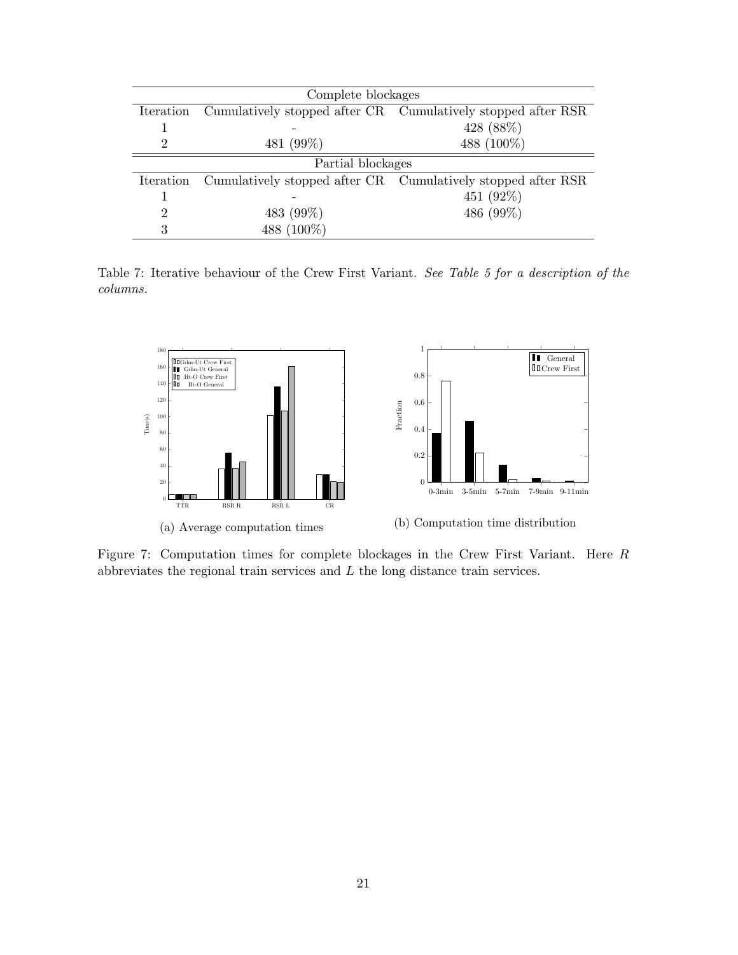| Complete blockages |                   |                                                              |  |  |  |  |
|--------------------|-------------------|--------------------------------------------------------------|--|--|--|--|
| Iteration          |                   | Cumulatively stopped after CR Cumulatively stopped after RSR |  |  |  |  |
|                    |                   | 428 (88%)                                                    |  |  |  |  |
| $\overline{2}$     | 481 (99%)         | 488 (100%)                                                   |  |  |  |  |
|                    | Partial blockages |                                                              |  |  |  |  |
| Iteration          |                   | Cumulatively stopped after CR Cumulatively stopped after RSR |  |  |  |  |
|                    |                   | 451 (92%)                                                    |  |  |  |  |
| $\overline{2}$     | 483 (99%)         | 486 (99%)                                                    |  |  |  |  |
| 3                  | 488 (100%)        |                                                              |  |  |  |  |

Table 7: Iterative behaviour of the Crew First Variant. See Table 5 for a description of the columns.



Figure 7: Computation times for complete blockages in the Crew First Variant. Here R abbreviates the regional train services and  $L$  the long distance train services.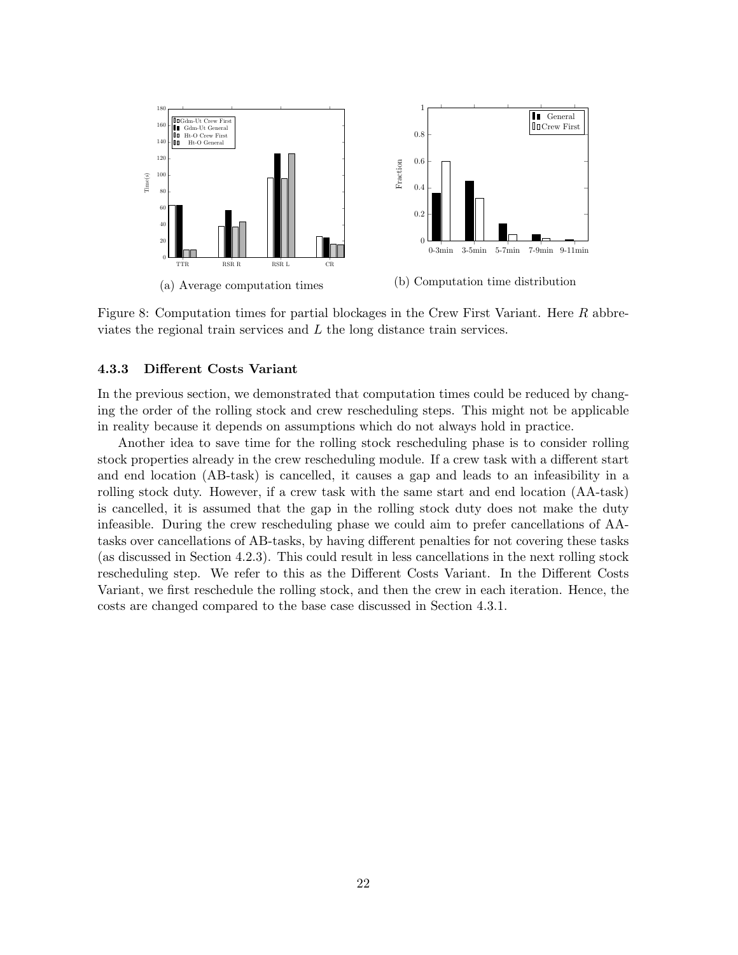

Figure 8: Computation times for partial blockages in the Crew First Variant. Here R abbreviates the regional train services and L the long distance train services.

#### 4.3.3 Different Costs Variant

In the previous section, we demonstrated that computation times could be reduced by changing the order of the rolling stock and crew rescheduling steps. This might not be applicable in reality because it depends on assumptions which do not always hold in practice.

Another idea to save time for the rolling stock rescheduling phase is to consider rolling stock properties already in the crew rescheduling module. If a crew task with a different start and end location (AB-task) is cancelled, it causes a gap and leads to an infeasibility in a rolling stock duty. However, if a crew task with the same start and end location (AA-task) is cancelled, it is assumed that the gap in the rolling stock duty does not make the duty infeasible. During the crew rescheduling phase we could aim to prefer cancellations of AAtasks over cancellations of AB-tasks, by having different penalties for not covering these tasks (as discussed in Section 4.2.3). This could result in less cancellations in the next rolling stock rescheduling step. We refer to this as the Different Costs Variant. In the Different Costs Variant, we first reschedule the rolling stock, and then the crew in each iteration. Hence, the costs are changed compared to the base case discussed in Section 4.3.1.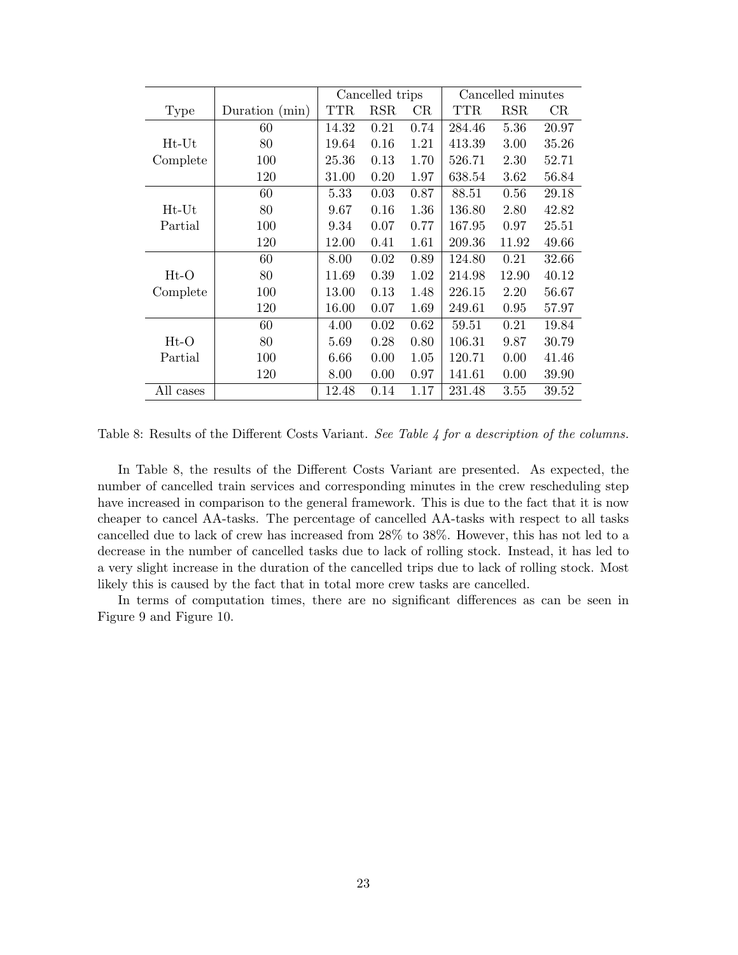|           |                | Cancelled trips |              |      | Cancelled minutes |            |       |
|-----------|----------------|-----------------|--------------|------|-------------------|------------|-------|
| Type      | Duration (min) | <b>TTR</b>      | $_{\rm RSR}$ | CR   | TTR               | <b>RSR</b> | CR    |
|           | 60             | 14.32           | 0.21         | 0.74 | 284.46            | 5.36       | 20.97 |
| $Ht-Ut$   | 80             | 19.64           | 0.16         | 1.21 | 413.39            | 3.00       | 35.26 |
| Complete  | 100            | 25.36           | 0.13         | 1.70 | 526.71            | 2.30       | 52.71 |
|           | 120            | 31.00           | 0.20         | 1.97 | 638.54            | 3.62       | 56.84 |
|           | 60             | 5.33            | 0.03         | 0.87 | 88.51             | 0.56       | 29.18 |
| $Ht-Ut$   | 80             | 9.67            | 0.16         | 1.36 | 136.80            | 2.80       | 42.82 |
| Partial   | 100            | 9.34            | 0.07         | 0.77 | 167.95            | 0.97       | 25.51 |
|           | 120            | 12.00           | 0.41         | 1.61 | 209.36            | 11.92      | 49.66 |
|           | 60             | 8.00            | 0.02         | 0.89 | 124.80            | 0.21       | 32.66 |
| $Ht-O$    | 80             | 11.69           | 0.39         | 1.02 | 214.98            | 12.90      | 40.12 |
| Complete  | 100            | 13.00           | 0.13         | 1.48 | 226.15            | 2.20       | 56.67 |
|           | 120            | 16.00           | 0.07         | 1.69 | 249.61            | 0.95       | 57.97 |
|           | 60             | 4.00            | 0.02         | 0.62 | 59.51             | 0.21       | 19.84 |
| $Ht-O$    | 80             | 5.69            | 0.28         | 0.80 | 106.31            | 9.87       | 30.79 |
| Partial   | 100            | 6.66            | 0.00         | 1.05 | 120.71            | 0.00       | 41.46 |
|           | 120            | 8.00            | 0.00         | 0.97 | 141.61            | 0.00       | 39.90 |
| All cases |                | 12.48           | 0.14         | 1.17 | 231.48            | 3.55       | 39.52 |

Table 8: Results of the Different Costs Variant. See Table 4 for a description of the columns.

In Table 8, the results of the Different Costs Variant are presented. As expected, the number of cancelled train services and corresponding minutes in the crew rescheduling step have increased in comparison to the general framework. This is due to the fact that it is now cheaper to cancel AA-tasks. The percentage of cancelled AA-tasks with respect to all tasks cancelled due to lack of crew has increased from 28% to 38%. However, this has not led to a decrease in the number of cancelled tasks due to lack of rolling stock. Instead, it has led to a very slight increase in the duration of the cancelled trips due to lack of rolling stock. Most likely this is caused by the fact that in total more crew tasks are cancelled.

In terms of computation times, there are no significant differences as can be seen in Figure 9 and Figure 10.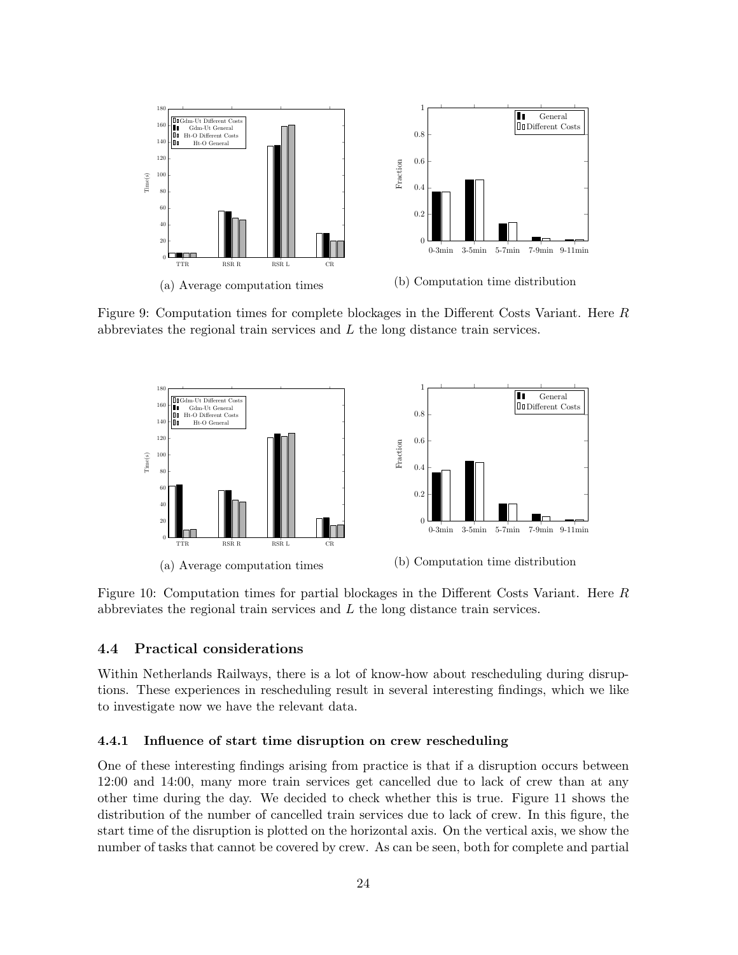

Figure 9: Computation times for complete blockages in the Different Costs Variant. Here R abbreviates the regional train services and  $L$  the long distance train services.



Figure 10: Computation times for partial blockages in the Different Costs Variant. Here R abbreviates the regional train services and L the long distance train services.

### 4.4 Practical considerations

Within Netherlands Railways, there is a lot of know-how about rescheduling during disruptions. These experiences in rescheduling result in several interesting findings, which we like to investigate now we have the relevant data.

#### 4.4.1 Influence of start time disruption on crew rescheduling

One of these interesting findings arising from practice is that if a disruption occurs between 12:00 and 14:00, many more train services get cancelled due to lack of crew than at any other time during the day. We decided to check whether this is true. Figure 11 shows the distribution of the number of cancelled train services due to lack of crew. In this figure, the start time of the disruption is plotted on the horizontal axis. On the vertical axis, we show the number of tasks that cannot be covered by crew. As can be seen, both for complete and partial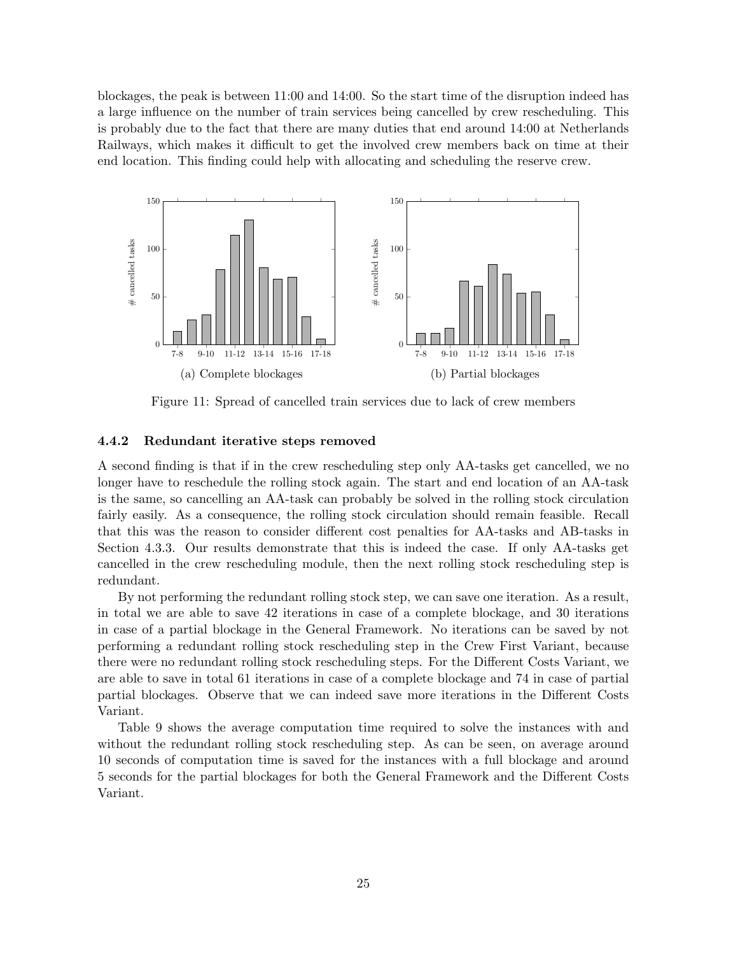blockages, the peak is between 11:00 and 14:00. So the start time of the disruption indeed has a large influence on the number of train services being cancelled by crew rescheduling. This is probably due to the fact that there are many duties that end around 14:00 at Netherlands Railways, which makes it difficult to get the involved crew members back on time at their end location. This finding could help with allocating and scheduling the reserve crew.



Figure 11: Spread of cancelled train services due to lack of crew members

#### 4.4.2 Redundant iterative steps removed

Section 4.3.3. Our results demonstrate that this is indeed the case. If only AA-tasks get is the same, so cancelling an AA-task can probably be solved in the rolling stock circulation A second finding is that if in the crew rescheduling step only AA-tasks get cancelled, we no r l<br>computation<br>Time cancelled in the crew rescheduling module, then the next rolling stock rescheduling step is fairly easily. As a consequence, the rolling stock circulation should remain feasible. Recall longer have to reschedule the rolling stock again. The start and end location of an AA-task n.<br>abi<br>cos<br>nis that this was the reason to consider different cost penalties for AA-tasks and AB-tasks in redundant.

eriorining the redundant rolli in case of a partial blockage in the General Framework. No iterations can be saved by not we can save one iteration. As By not performing the redundant rolling stock step, we can save one iteration. As a result, in total we are able to save 42 iterations in case of a complete blockage, and 30 iterations performing a redundant rolling stock rescheduling step in the Crew First Variant, because there were no redundant rolling stock rescheduling steps. For the Different Costs Variant, we are able to save in total 61 iterations in case of a complete blockage and 74 in case of partial partial blockages. Observe that we can indeed save more iterations in the Different Costs Variant.

Table 9 shows the average computation time required to solve the instances with and without the redundant rolling stock rescheduling step. As can be seen, on average around 10 seconds of computation time is saved for the instances with a full blockage and around 5 seconds for the partial blockages for both the General Framework and the Different Costs Variant.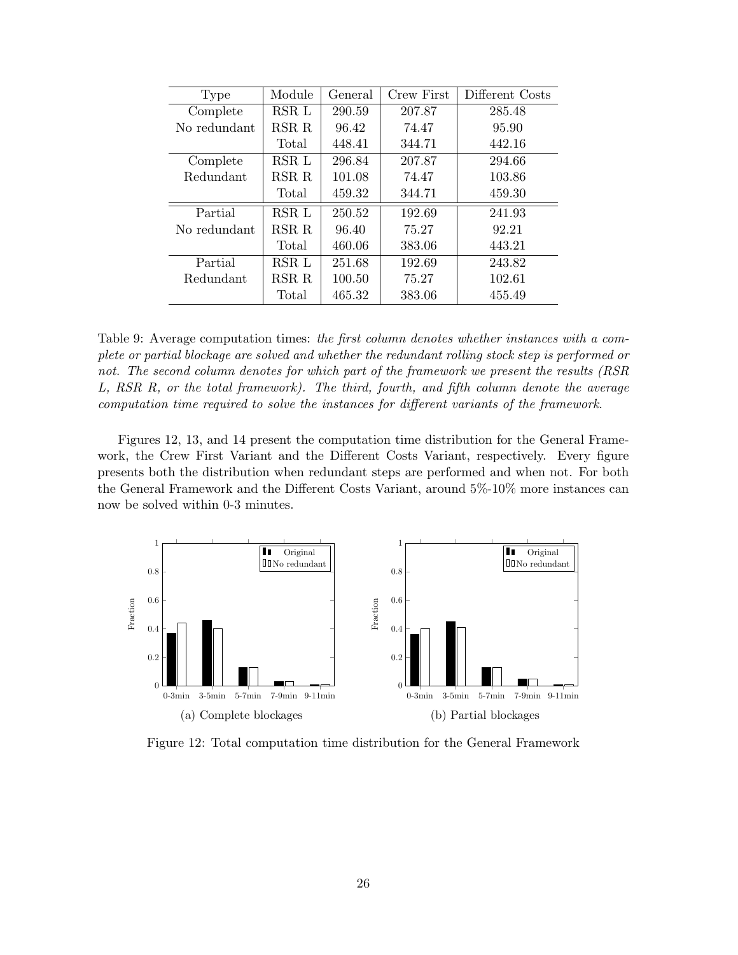| Type         | Module | General | Crew First | Different Costs |
|--------------|--------|---------|------------|-----------------|
| Complete     | RSR L  | 290.59  | 207.87     | 285.48          |
| No redundant | RSR R  | 96.42   | 74.47      | 95.90           |
|              | Total  | 448.41  | 344.71     | 442.16          |
| Complete     | RSR L  | 296.84  | 207.87     | 294.66          |
| Redundant    | RSR R  | 101.08  | 74.47      | 103.86          |
|              | Total  | 459.32  | 344.71     | 459.30          |
| Partial      | RSR L  | 250.52  | 192.69     | 241.93          |
| No redundant | RSR R  | 96.40   | 75.27      | 92.21           |
|              | Total  | 460.06  | 383.06     | 443.21          |
| Partial      | RSR L  | 251.68  | 192.69     | 243.82          |
| Redundant    | RSR R  | 100.50  | 75.27      | 102.61          |
|              | Total  | 465.32  | 383.06     | 455.49          |

Table 9: Average computation times: the first column denotes whether instances with a complete or partial blockage are solved and whether the redundant rolling stock step is performed or not. The second column denotes for which part of the framework we present the results (RSR L, RSR R, or the total framework). The third, fourth, and fifth column denote the average computation time required to solve the instances for different variants of the framework.

Figures 12, 13, and 14 present the computation time distribution for the General Framework, the Crew First Variant and the Different Costs Variant, respectively. Every figure presents both the distribution when redundant steps are performed and when not. For both the General Framework and the Different Costs Variant, around 5%-10% more instances can now be solved within 0-3 minutes.



Figure 12: Total computation time distribution for the General Framework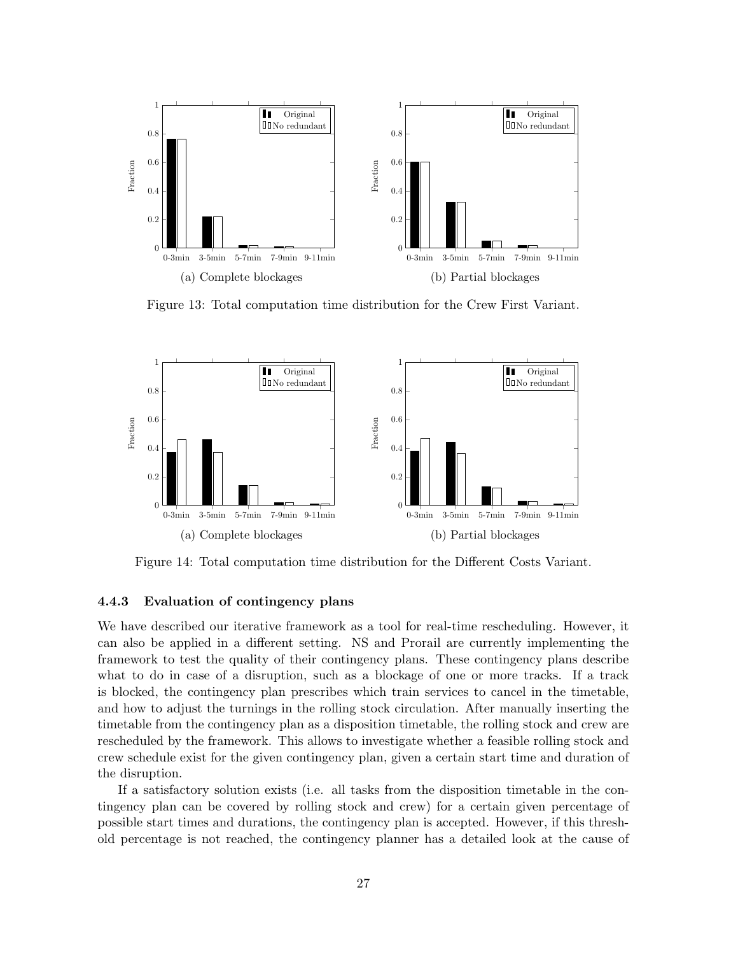

Figure 13: Total computation time distribution for the Crew First Variant.



Figure 14: Total computation time distribution for the Different Costs Variant.

#### 4.4.3 Evaluation of contingency plans

We have described our iterative framework as a tool for real-time rescheduling. However, it can also be applied in a different setting. NS and Prorail are currently implementing the framework to test the quality of their contingency plans. These contingency plans describe what to do in case of a disruption, such as a blockage of one or more tracks. If a track is blocked, the contingency plan prescribes which train services to cancel in the timetable, and how to adjust the turnings in the rolling stock circulation. After manually inserting the timetable from the contingency plan as a disposition timetable, the rolling stock and crew are rescheduled by the framework. This allows to investigate whether a feasible rolling stock and crew schedule exist for the given contingency plan, given a certain start time and duration of the disruption.

If a satisfactory solution exists (i.e. all tasks from the disposition timetable in the contingency plan can be covered by rolling stock and crew) for a certain given percentage of possible start times and durations, the contingency plan is accepted. However, if this threshold percentage is not reached, the contingency planner has a detailed look at the cause of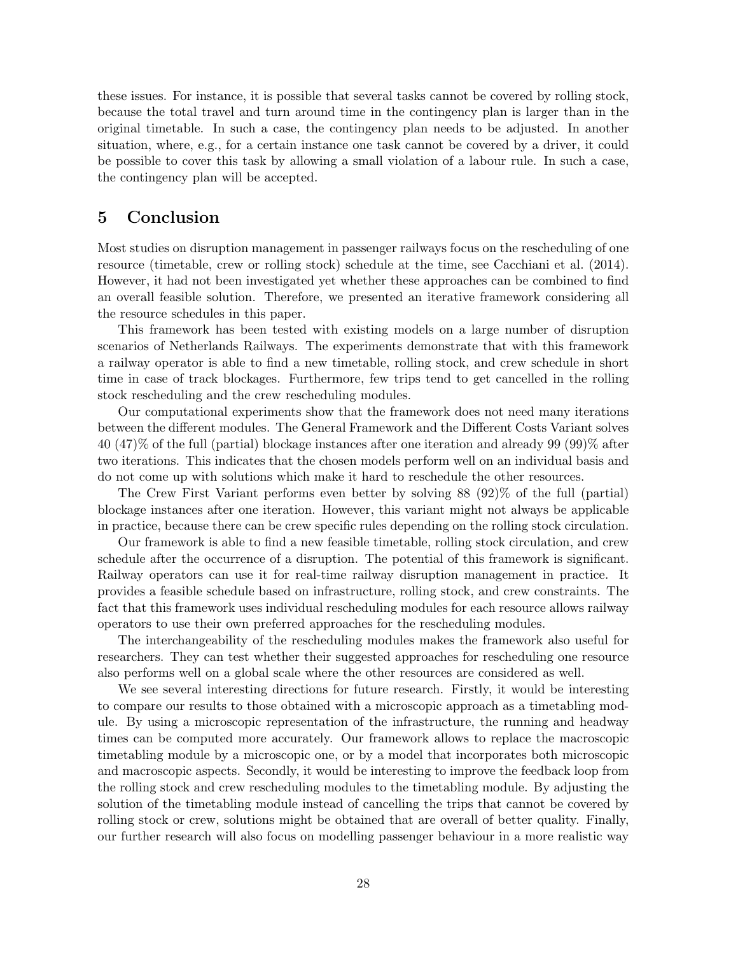these issues. For instance, it is possible that several tasks cannot be covered by rolling stock, because the total travel and turn around time in the contingency plan is larger than in the original timetable. In such a case, the contingency plan needs to be adjusted. In another situation, where, e.g., for a certain instance one task cannot be covered by a driver, it could be possible to cover this task by allowing a small violation of a labour rule. In such a case, the contingency plan will be accepted.

# 5 Conclusion

Most studies on disruption management in passenger railways focus on the rescheduling of one resource (timetable, crew or rolling stock) schedule at the time, see Cacchiani et al. (2014). However, it had not been investigated yet whether these approaches can be combined to find an overall feasible solution. Therefore, we presented an iterative framework considering all the resource schedules in this paper.

This framework has been tested with existing models on a large number of disruption scenarios of Netherlands Railways. The experiments demonstrate that with this framework a railway operator is able to find a new timetable, rolling stock, and crew schedule in short time in case of track blockages. Furthermore, few trips tend to get cancelled in the rolling stock rescheduling and the crew rescheduling modules.

Our computational experiments show that the framework does not need many iterations between the different modules. The General Framework and the Different Costs Variant solves 40 (47)% of the full (partial) blockage instances after one iteration and already 99 (99)% after two iterations. This indicates that the chosen models perform well on an individual basis and do not come up with solutions which make it hard to reschedule the other resources.

The Crew First Variant performs even better by solving 88 (92)% of the full (partial) blockage instances after one iteration. However, this variant might not always be applicable in practice, because there can be crew specific rules depending on the rolling stock circulation.

Our framework is able to find a new feasible timetable, rolling stock circulation, and crew schedule after the occurrence of a disruption. The potential of this framework is significant. Railway operators can use it for real-time railway disruption management in practice. It provides a feasible schedule based on infrastructure, rolling stock, and crew constraints. The fact that this framework uses individual rescheduling modules for each resource allows railway operators to use their own preferred approaches for the rescheduling modules.

The interchangeability of the rescheduling modules makes the framework also useful for researchers. They can test whether their suggested approaches for rescheduling one resource also performs well on a global scale where the other resources are considered as well.

We see several interesting directions for future research. Firstly, it would be interesting to compare our results to those obtained with a microscopic approach as a timetabling module. By using a microscopic representation of the infrastructure, the running and headway times can be computed more accurately. Our framework allows to replace the macroscopic timetabling module by a microscopic one, or by a model that incorporates both microscopic and macroscopic aspects. Secondly, it would be interesting to improve the feedback loop from the rolling stock and crew rescheduling modules to the timetabling module. By adjusting the solution of the timetabling module instead of cancelling the trips that cannot be covered by rolling stock or crew, solutions might be obtained that are overall of better quality. Finally, our further research will also focus on modelling passenger behaviour in a more realistic way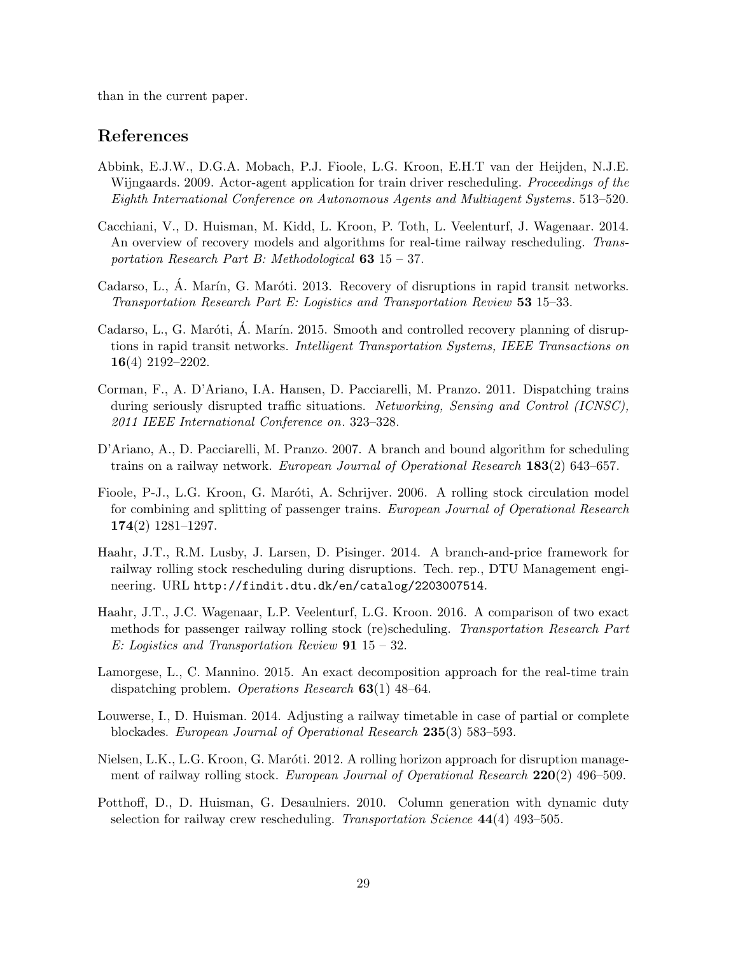than in the current paper.

# References

- Abbink, E.J.W., D.G.A. Mobach, P.J. Fioole, L.G. Kroon, E.H.T van der Heijden, N.J.E. Wijngaards. 2009. Actor-agent application for train driver rescheduling. *Proceedings of the* Eighth International Conference on Autonomous Agents and Multiagent Systems . 513–520.
- Cacchiani, V., D. Huisman, M. Kidd, L. Kroon, P. Toth, L. Veelenturf, J. Wagenaar. 2014. An overview of recovery models and algorithms for real-time railway rescheduling. Transportation Research Part B: Methodological  $63$  15 – 37.
- Cadarso, L., Á. Marín, G. Maróti. 2013. Recovery of disruptions in rapid transit networks. Transportation Research Part E: Logistics and Transportation Review 53 15–33.
- Cadarso, L., G. Maróti, A. Marín. 2015. Smooth and controlled recovery planning of disruptions in rapid transit networks. Intelligent Transportation Systems, IEEE Transactions on 16(4) 2192–2202.
- Corman, F., A. D'Ariano, I.A. Hansen, D. Pacciarelli, M. Pranzo. 2011. Dispatching trains during seriously disrupted traffic situations. Networking, Sensing and Control (ICNSC), 2011 IEEE International Conference on. 323–328.
- D'Ariano, A., D. Pacciarelli, M. Pranzo. 2007. A branch and bound algorithm for scheduling trains on a railway network. European Journal of Operational Research 183(2) 643–657.
- Fioole, P-J., L.G. Kroon, G. Maróti, A. Schrijver. 2006. A rolling stock circulation model for combining and splitting of passenger trains. European Journal of Operational Research 174(2) 1281–1297.
- Haahr, J.T., R.M. Lusby, J. Larsen, D. Pisinger. 2014. A branch-and-price framework for railway rolling stock rescheduling during disruptions. Tech. rep., DTU Management engineering. URL http://findit.dtu.dk/en/catalog/2203007514.
- Haahr, J.T., J.C. Wagenaar, L.P. Veelenturf, L.G. Kroon. 2016. A comparison of two exact methods for passenger railway rolling stock (re)scheduling. Transportation Research Part E: Logistics and Transportation Review 91  $15 - 32$ .
- Lamorgese, L., C. Mannino. 2015. An exact decomposition approach for the real-time train dispatching problem. Operations Research 63(1) 48–64.
- Louwerse, I., D. Huisman. 2014. Adjusting a railway timetable in case of partial or complete blockades. European Journal of Operational Research 235(3) 583–593.
- Nielsen, L.K., L.G. Kroon, G. Maróti. 2012. A rolling horizon approach for disruption management of railway rolling stock. European Journal of Operational Research 220(2) 496–509.
- Potthoff, D., D. Huisman, G. Desaulniers. 2010. Column generation with dynamic duty selection for railway crew rescheduling. Transportation Science  $44(4)$  493–505.